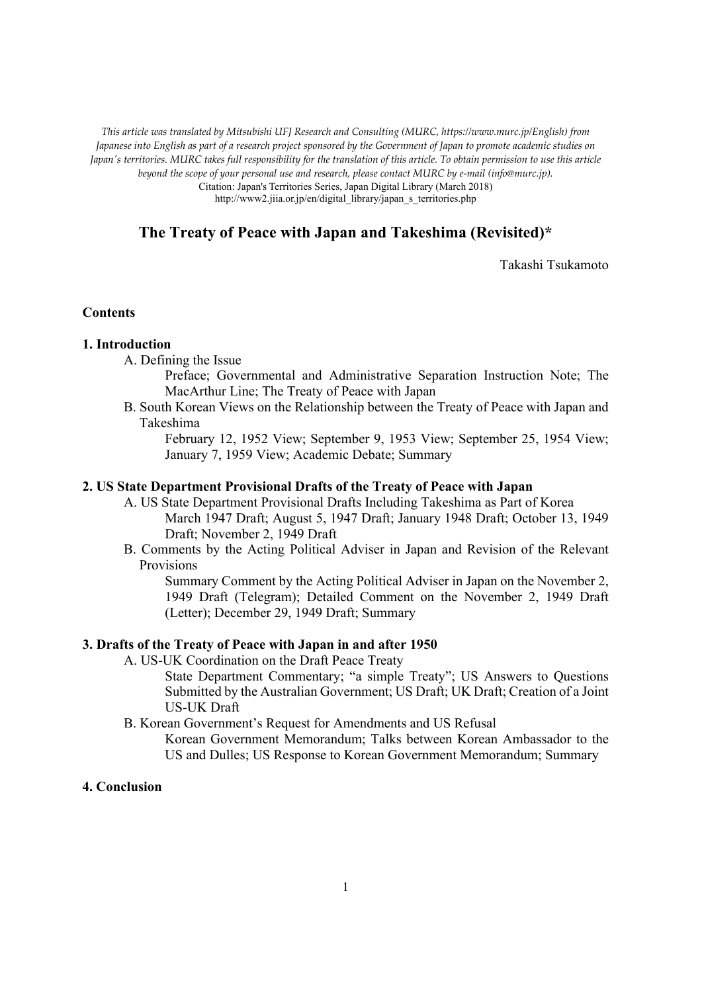*This article was translated by Mitsubishi UFJ Research and Consulting (MURC, https://www.murc.jp/English) from Japanese into English as part of a research project sponsored by the Government of Japan to promote academic studies on Japan's territories. MURC takes full responsibility for the translation of this article. To obtain permission to use this article beyond the scope of your personal use and research, please contact MURC by e-mail (info@murc.jp).*

Citation: Japan's Territories Series, Japan Digital Library (March 2018) http://www2.jiia.or.jp/en/digital\_library/japan\_s\_territories.php

# **The Treaty of Peace with Japan and Takeshima (Revisited)\***

Takashi Tsukamoto

### **Contents**

#### **1. Introduction**

A. Defining the Issue

Preface; Governmental and Administrative Separation Instruction Note; The MacArthur Line; The Treaty of Peace with Japan

B. South Korean Views on the Relationship between the Treaty of Peace with Japan and Takeshima

February 12, 1952 View; September 9, 1953 View; September 25, 1954 View; January 7, 1959 View; Academic Debate; Summary

### **2. US State Department Provisional Drafts of the Treaty of Peace with Japan**

- A. US State Department Provisional Drafts Including Takeshima as Part of Korea March 1947 Draft; August 5, 1947 Draft; January 1948 Draft; October 13, 1949 Draft; November 2, 1949 Draft
- B. Comments by the Acting Political Adviser in Japan and Revision of the Relevant Provisions

Summary Comment by the Acting Political Adviser in Japan on the November 2, 1949 Draft (Telegram); Detailed Comment on the November 2, 1949 Draft (Letter); December 29, 1949 Draft; Summary

## **3. Drafts of the Treaty of Peace with Japan in and after 1950**

A. US-UK Coordination on the Draft Peace Treaty

State Department Commentary; "a simple Treaty"; US Answers to Questions Submitted by the Australian Government; US Draft; UK Draft; Creation of a Joint US-UK Draft

B. Korean Government's Request for Amendments and US Refusal

Korean Government Memorandum; Talks between Korean Ambassador to the US and Dulles; US Response to Korean Government Memorandum; Summary

# **4. Conclusion**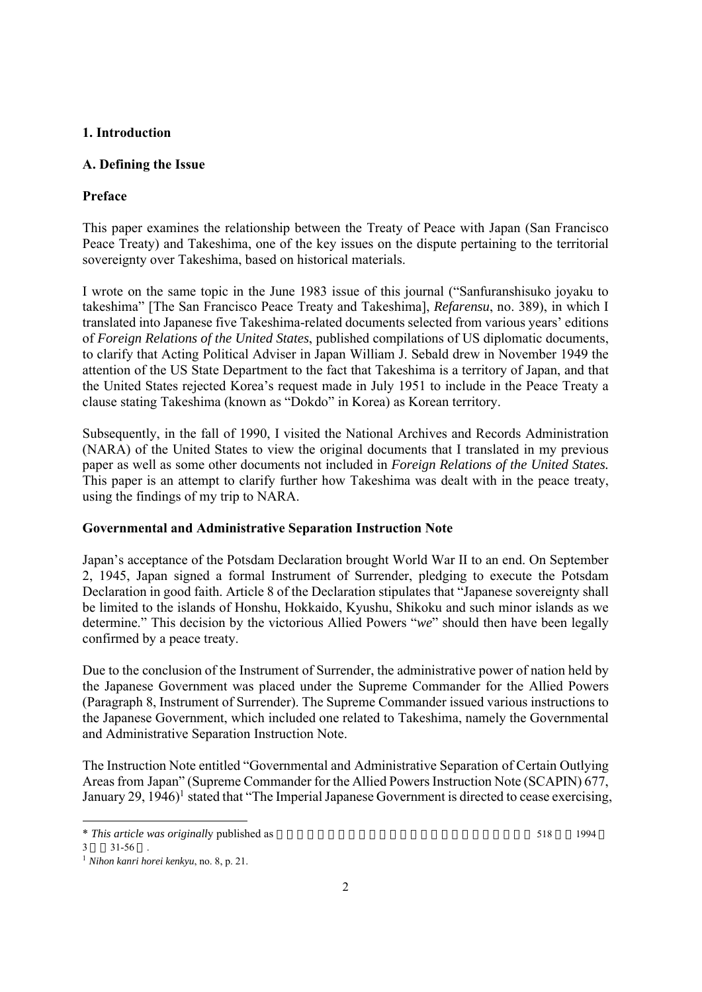# **1. Introduction**

# **A. Defining the Issue**

# **Preface**

This paper examines the relationship between the Treaty of Peace with Japan (San Francisco Peace Treaty) and Takeshima, one of the key issues on the dispute pertaining to the territorial sovereignty over Takeshima, based on historical materials.

I wrote on the same topic in the June 1983 issue of this journal ("Sanfuranshisuko joyaku to takeshima" [The San Francisco Peace Treaty and Takeshima], *Refarensu*, no. 389), in which I translated into Japanese five Takeshima-related documents selected from various years' editions of *Foreign Relations of the United States*, published compilations of US diplomatic documents, to clarify that Acting Political Adviser in Japan William J. Sebald drew in November 1949 the attention of the US State Department to the fact that Takeshima is a territory of Japan, and that the United States rejected Korea's request made in July 1951 to include in the Peace Treaty a clause stating Takeshima (known as "Dokdo" in Korea) as Korean territory.

Subsequently, in the fall of 1990, I visited the National Archives and Records Administration (NARA) of the United States to view the original documents that I translated in my previous paper as well as some other documents not included in *Foreign Relations of the United States.* This paper is an attempt to clarify further how Takeshima was dealt with in the peace treaty, using the findings of my trip to NARA.

## **Governmental and Administrative Separation Instruction Note**

Japan's acceptance of the Potsdam Declaration brought World War II to an end. On September 2, 1945, Japan signed a formal Instrument of Surrender, pledging to execute the Potsdam Declaration in good faith. Article 8 of the Declaration stipulates that "Japanese sovereignty shall be limited to the islands of Honshu, Hokkaido, Kyushu, Shikoku and such minor islands as we determine." This decision by the victorious Allied Powers "*we*" should then have been legally confirmed by a peace treaty.

Due to the conclusion of the Instrument of Surrender, the administrative power of nation held by the Japanese Government was placed under the Supreme Commander for the Allied Powers (Paragraph 8, Instrument of Surrender). The Supreme Commander issued various instructions to the Japanese Government, which included one related to Takeshima, namely the Governmental and Administrative Separation Instruction Note.

The Instruction Note entitled "Governmental and Administrative Separation of Certain Outlying Areas from Japan" (Supreme Commander for the Allied Powers Instruction Note (SCAPIN) 677, January 29, 1946)<sup>1</sup> stated that "The Imperial Japanese Government is directed to cease exercising,

<sup>\*</sup> *This article was originally published as*  $\frac{1994}{\pi}$ 

 $3 \times 31 - 56$ 

<sup>1</sup> *Nihon kanri horei kenkyu*, no. 8, p. 21.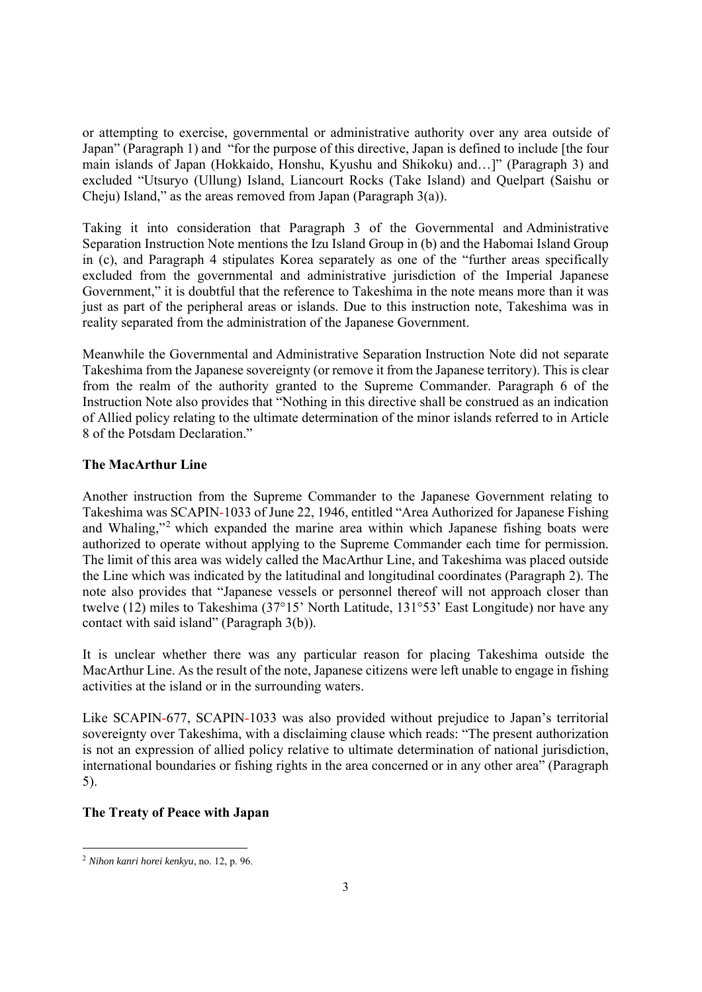or attempting to exercise, governmental or administrative authority over any area outside of Japan" (Paragraph 1) and "for the purpose of this directive, Japan is defined to include [the four main islands of Japan (Hokkaido, Honshu, Kyushu and Shikoku) and…]" (Paragraph 3) and excluded "Utsuryo (Ullung) Island, Liancourt Rocks (Take Island) and Quelpart (Saishu or Cheju) Island," as the areas removed from Japan (Paragraph 3(a)).

Taking it into consideration that Paragraph 3 of the Governmental and Administrative Separation Instruction Note mentions the Izu Island Group in (b) and the Habomai Island Group in (c), and Paragraph 4 stipulates Korea separately as one of the "further areas specifically excluded from the governmental and administrative jurisdiction of the Imperial Japanese Government," it is doubtful that the reference to Takeshima in the note means more than it was just as part of the peripheral areas or islands. Due to this instruction note, Takeshima was in reality separated from the administration of the Japanese Government.

Meanwhile the Governmental and Administrative Separation Instruction Note did not separate Takeshima from the Japanese sovereignty (or remove it from the Japanese territory). This is clear from the realm of the authority granted to the Supreme Commander. Paragraph 6 of the Instruction Note also provides that "Nothing in this directive shall be construed as an indication of Allied policy relating to the ultimate determination of the minor islands referred to in Article 8 of the Potsdam Declaration."

# **The MacArthur Line**

Another instruction from the Supreme Commander to the Japanese Government relating to Takeshima was SCAPIN-1033 of June 22, 1946, entitled "Area Authorized for Japanese Fishing and Whaling,"2 which expanded the marine area within which Japanese fishing boats were authorized to operate without applying to the Supreme Commander each time for permission. The limit of this area was widely called the MacArthur Line, and Takeshima was placed outside the Line which was indicated by the latitudinal and longitudinal coordinates (Paragraph 2). The note also provides that "Japanese vessels or personnel thereof will not approach closer than twelve (12) miles to Takeshima (37°15' North Latitude, 131°53' East Longitude) nor have any contact with said island" (Paragraph 3(b)).

It is unclear whether there was any particular reason for placing Takeshima outside the MacArthur Line. As the result of the note, Japanese citizens were left unable to engage in fishing activities at the island or in the surrounding waters.

Like SCAPIN-677, SCAPIN-1033 was also provided without prejudice to Japan's territorial sovereignty over Takeshima, with a disclaiming clause which reads: "The present authorization is not an expression of allied policy relative to ultimate determination of national jurisdiction, international boundaries or fishing rights in the area concerned or in any other area" (Paragraph 5).

# **The Treaty of Peace with Japan**

<sup>2</sup> *Nihon kanri horei kenkyu*, no. 12, p. 96.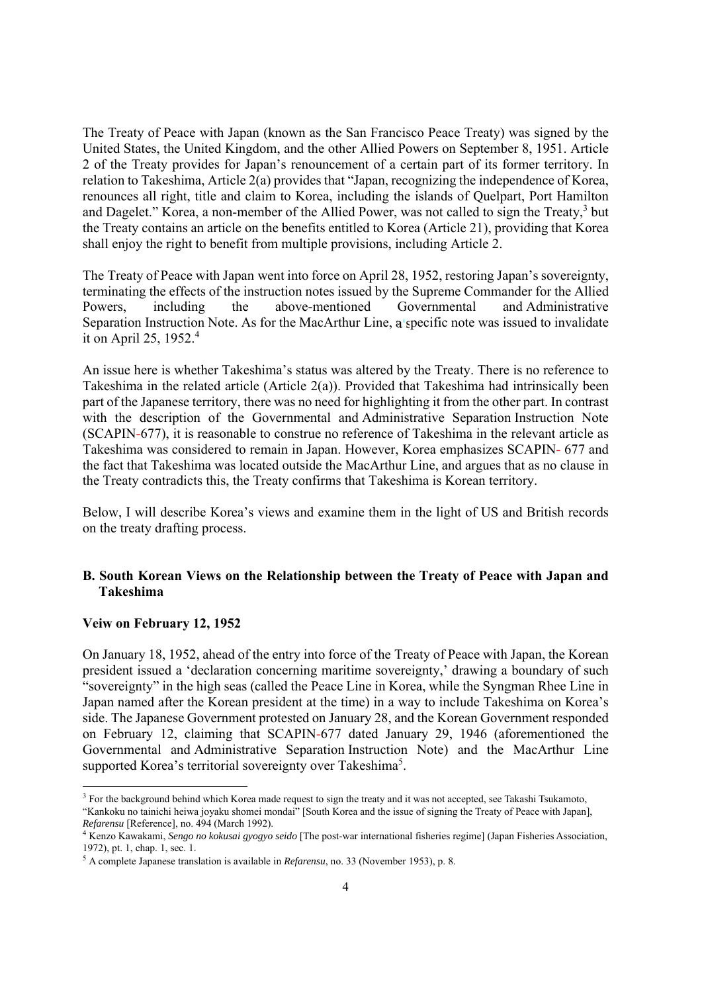The Treaty of Peace with Japan (known as the San Francisco Peace Treaty) was signed by the United States, the United Kingdom, and the other Allied Powers on September 8, 1951. Article 2 of the Treaty provides for Japan's renouncement of a certain part of its former territory. In relation to Takeshima, Article 2(a) provides that "Japan, recognizing the independence of Korea, renounces all right, title and claim to Korea, including the islands of Quelpart, Port Hamilton and Dagelet." Korea, a non-member of the Allied Power, was not called to sign the Treaty,<sup>3</sup> but the Treaty contains an article on the benefits entitled to Korea (Article 21), providing that Korea shall enjoy the right to benefit from multiple provisions, including Article 2.

The Treaty of Peace with Japan went into force on April 28, 1952, restoring Japan's sovereignty, terminating the effects of the instruction notes issued by the Supreme Commander for the Allied Powers, including the above-mentioned Governmental and Administrative Separation Instruction Note. As for the MacArthur Line, a specific note was issued to invalidate it on April 25,  $1952.<sup>4</sup>$ 

An issue here is whether Takeshima's status was altered by the Treaty. There is no reference to Takeshima in the related article  $(A$ rticle  $2(a)$ ). Provided that Takeshima had intrinsically been part of the Japanese territory, there was no need for highlighting it from the other part. In contrast with the description of the Governmental and Administrative Separation Instruction Note (SCAPIN-677), it is reasonable to construe no reference of Takeshima in the relevant article as Takeshima was considered to remain in Japan. However, Korea emphasizes SCAPIN- 677 and the fact that Takeshima was located outside the MacArthur Line, and argues that as no clause in the Treaty contradicts this, the Treaty confirms that Takeshima is Korean territory.

Below, I will describe Korea's views and examine them in the light of US and British records on the treaty drafting process.

# **B. South Korean Views on the Relationship between the Treaty of Peace with Japan and Takeshima**

#### **Veiw on February 12, 1952**

On January 18, 1952, ahead of the entry into force of the Treaty of Peace with Japan, the Korean president issued a 'declaration concerning maritime sovereignty,' drawing a boundary of such "sovereignty" in the high seas (called the Peace Line in Korea, while the Syngman Rhee Line in Japan named after the Korean president at the time) in a way to include Takeshima on Korea's side. The Japanese Government protested on January 28, and the Korean Government responded on February 12, claiming that SCAPIN-677 dated January 29, 1946 (aforementioned the Governmental and Administrative Separation Instruction Note) and the MacArthur Line supported Korea's territorial sovereignty over Takeshima<sup>5</sup>.

<sup>&</sup>lt;sup>3</sup> For the background behind which Korea made request to sign the treaty and it was not accepted, see Takashi Tsukamoto, "Kankoku no tainichi heiwa joyaku shomei mondai" [South Korea and the issue of signing the Treaty of Peace with Japan],

*Refarensu* [Reference], no. 494 (March 1992).

Kenzo Kawakami, *Sengo no kokusai gyogyo seido* [The post-war international fisheries regime] (Japan Fisheries Association, 1972), pt. 1, chap. 1, sec. 1.

<sup>5</sup> A complete Japanese translation is available in *Refarensu*, no. 33 (November 1953), p. 8.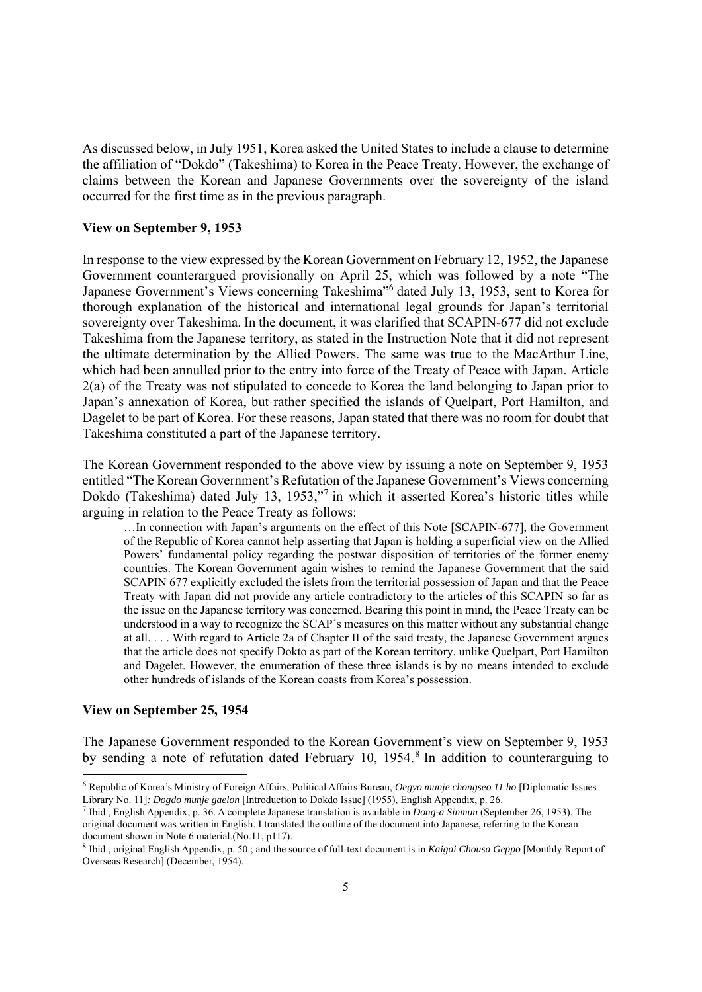As discussed below, in July 1951, Korea asked the United States to include a clause to determine the affiliation of "Dokdo" (Takeshima) to Korea in the Peace Treaty. However, the exchange of claims between the Korean and Japanese Governments over the sovereignty of the island occurred for the first time as in the previous paragraph.

### **View on September 9, 1953**

In response to the view expressed by the Korean Government on February 12, 1952, the Japanese Government counterargued provisionally on April 25, which was followed by a note "The Japanese Government's Views concerning Takeshima"6 dated July 13, 1953, sent to Korea for thorough explanation of the historical and international legal grounds for Japan's territorial sovereignty over Takeshima. In the document, it was clarified that SCAPIN-677 did not exclude Takeshima from the Japanese territory, as stated in the Instruction Note that it did not represent the ultimate determination by the Allied Powers. The same was true to the MacArthur Line, which had been annulled prior to the entry into force of the Treaty of Peace with Japan. Article 2(a) of the Treaty was not stipulated to concede to Korea the land belonging to Japan prior to Japan's annexation of Korea, but rather specified the islands of Quelpart, Port Hamilton, and Dagelet to be part of Korea. For these reasons, Japan stated that there was no room for doubt that Takeshima constituted a part of the Japanese territory.

The Korean Government responded to the above view by issuing a note on September 9, 1953 entitled "The Korean Government's Refutation of the Japanese Government's Views concerning Dokdo (Takeshima) dated July 13, 1953,"7 in which it asserted Korea's historic titles while arguing in relation to the Peace Treaty as follows:

…In connection with Japan's arguments on the effect of this Note [SCAPIN-677], the Government of the Republic of Korea cannot help asserting that Japan is holding a superficial view on the Allied Powers' fundamental policy regarding the postwar disposition of territories of the former enemy countries. The Korean Government again wishes to remind the Japanese Government that the said SCAPIN 677 explicitly excluded the islets from the territorial possession of Japan and that the Peace Treaty with Japan did not provide any article contradictory to the articles of this SCAPIN so far as the issue on the Japanese territory was concerned. Bearing this point in mind, the Peace Treaty can be understood in a way to recognize the SCAP's measures on this matter without any substantial change at all. . . . With regard to Article 2a of Chapter II of the said treaty, the Japanese Government argues that the article does not specify Dokto as part of the Korean territory, unlike Quelpart, Port Hamilton and Dagelet. However, the enumeration of these three islands is by no means intended to exclude other hundreds of islands of the Korean coasts from Korea's possession.

### **View on September 25, 1954**

The Japanese Government responded to the Korean Government's view on September 9, 1953 by sending a note of refutation dated February 10, 1954.<sup>8</sup> In addition to counterarguing to

 Ibid., English Appendix, p. 36. A complete Japanese translation is available in *Dong-a Sinmun* (September 26, 1953). The original document was written in English. I translated the outline of the document into Japanese, referring to the Korean document shown in Note 6 material.(No.11, p117).

<sup>6</sup> Republic of Korea's Ministry of Foreign Affairs, Political Affairs Bureau, *Oegyo munje chongseo 11 ho* [Diplomatic Issues Library No. 11]*: Dogdo munje gaelon* [Introduction to Dokdo Issue] (1955), English Appendix, p. 26.

<sup>8</sup> Ibid., original English Appendix, p. 50.; and the source of full-text document is in *Kaigai Chousa Geppo* [Monthly Report of Overseas Research] (December, 1954).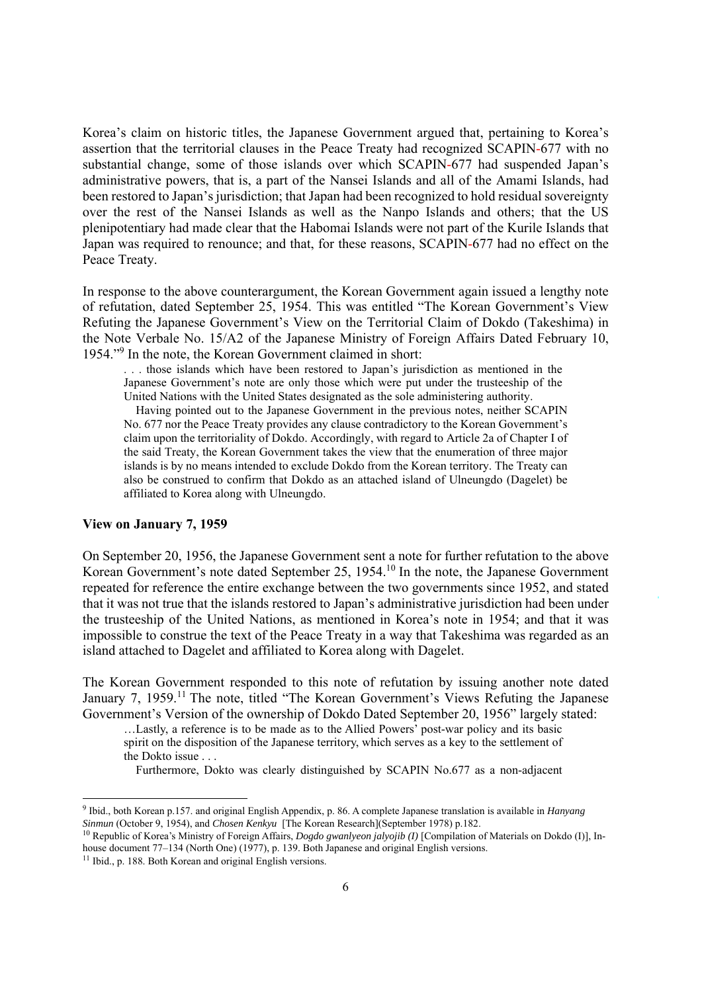Korea's claim on historic titles, the Japanese Government argued that, pertaining to Korea's assertion that the territorial clauses in the Peace Treaty had recognized SCAPIN-677 with no substantial change, some of those islands over which SCAPIN-677 had suspended Japan's administrative powers, that is, a part of the Nansei Islands and all of the Amami Islands, had been restored to Japan's jurisdiction; that Japan had been recognized to hold residual sovereignty over the rest of the Nansei Islands as well as the Nanpo Islands and others; that the US plenipotentiary had made clear that the Habomai Islands were not part of the Kurile Islands that Japan was required to renounce; and that, for these reasons, SCAPIN-677 had no effect on the Peace Treaty.

In response to the above counterargument, the Korean Government again issued a lengthy note of refutation, dated September 25, 1954. This was entitled "The Korean Government's View Refuting the Japanese Government's View on the Territorial Claim of Dokdo (Takeshima) in the Note Verbale No. 15/A2 of the Japanese Ministry of Foreign Affairs Dated February 10, 1954."<sup>9</sup> In the note, the Korean Government claimed in short:

. . . those islands which have been restored to Japan's jurisdiction as mentioned in the Japanese Government's note are only those which were put under the trusteeship of the United Nations with the United States designated as the sole administering authority.

Having pointed out to the Japanese Government in the previous notes, neither SCAPIN No. 677 nor the Peace Treaty provides any clause contradictory to the Korean Government's claim upon the territoriality of Dokdo. Accordingly, with regard to Article 2a of Chapter I of the said Treaty, the Korean Government takes the view that the enumeration of three major islands is by no means intended to exclude Dokdo from the Korean territory. The Treaty can also be construed to confirm that Dokdo as an attached island of Ulneungdo (Dagelet) be affiliated to Korea along with Ulneungdo.

### **View on January 7, 1959**

On September 20, 1956, the Japanese Government sent a note for further refutation to the above Korean Government's note dated September 25, 1954.10 In the note, the Japanese Government repeated for reference the entire exchange between the two governments since 1952, and stated that it was not true that the islands restored to Japan's administrative jurisdiction had been under the trusteeship of the United Nations, as mentioned in Korea's note in 1954; and that it was impossible to construe the text of the Peace Treaty in a way that Takeshima was regarded as an island attached to Dagelet and affiliated to Korea along with Dagelet.

The Korean Government responded to this note of refutation by issuing another note dated January 7, 1959.<sup>11</sup> The note, titled "The Korean Government's Views Refuting the Japanese Government's Version of the ownership of Dokdo Dated September 20, 1956" largely stated:

…Lastly, a reference is to be made as to the Allied Powers' post-war policy and its basic spirit on the disposition of the Japanese territory, which serves as a key to the settlement of the Dokto issue . . .

Furthermore, Dokto was clearly distinguished by SCAPIN No.677 as a non-adjacent

<sup>9</sup> Ibid., both Korean p.157. and original English Appendix, p. 86. A complete Japanese translation is available in *Hanyang Sinmun* (October 9, 1954), and *Chosen Kenkyu* [The Korean Research](September 1978) p.182.

<sup>&</sup>lt;sup>10</sup> Republic of Korea's Ministry of Foreign Affairs, *Dogdo gwanlyeon jalyojib (I)* [Compilation of Materials on Dokdo (I)], Inhouse document 77–134 (North One) (1977), p. 139. Both Japanese and original English versions. <sup>11</sup> Ibid., p. 188. Both Korean and original English versions.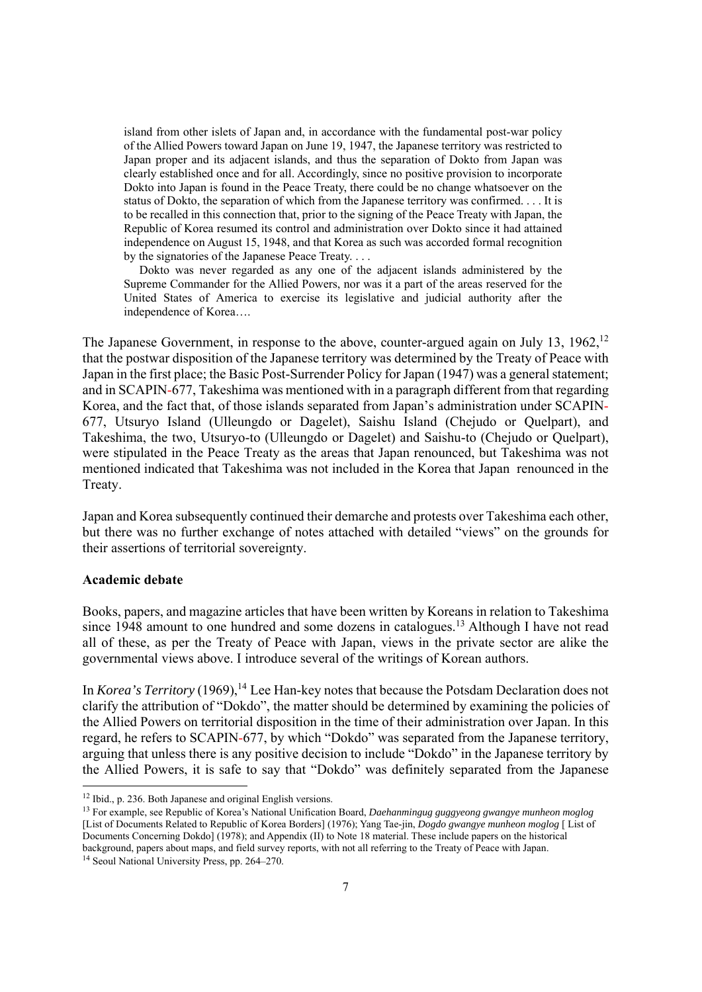island from other islets of Japan and, in accordance with the fundamental post-war policy of the Allied Powers toward Japan on June 19, 1947, the Japanese territory was restricted to Japan proper and its adjacent islands, and thus the separation of Dokto from Japan was clearly established once and for all. Accordingly, since no positive provision to incorporate Dokto into Japan is found in the Peace Treaty, there could be no change whatsoever on the status of Dokto, the separation of which from the Japanese territory was confirmed. . . . It is to be recalled in this connection that, prior to the signing of the Peace Treaty with Japan, the Republic of Korea resumed its control and administration over Dokto since it had attained independence on August 15, 1948, and that Korea as such was accorded formal recognition by the signatories of the Japanese Peace Treaty. . . .

Dokto was never regarded as any one of the adjacent islands administered by the Supreme Commander for the Allied Powers, nor was it a part of the areas reserved for the United States of America to exercise its legislative and judicial authority after the independence of Korea….

The Japanese Government, in response to the above, counter-argued again on July 13,  $1962$ ,  $12$ that the postwar disposition of the Japanese territory was determined by the Treaty of Peace with Japan in the first place; the Basic Post-Surrender Policy for Japan (1947) was a general statement; and in SCAPIN-677, Takeshima was mentioned with in a paragraph different from that regarding Korea, and the fact that, of those islands separated from Japan's administration under SCAPIN-677, Utsuryo Island (Ulleungdo or Dagelet), Saishu Island (Chejudo or Quelpart), and Takeshima, the two, Utsuryo-to (Ulleungdo or Dagelet) and Saishu-to (Chejudo or Quelpart), were stipulated in the Peace Treaty as the areas that Japan renounced, but Takeshima was not mentioned indicated that Takeshima was not included in the Korea that Japan renounced in the Treaty.

Japan and Korea subsequently continued their demarche and protests over Takeshima each other, but there was no further exchange of notes attached with detailed "views" on the grounds for their assertions of territorial sovereignty.

### **Academic debate**

Books, papers, and magazine articles that have been written by Koreans in relation to Takeshima since 1948 amount to one hundred and some dozens in catalogues.<sup>13</sup> Although I have not read all of these, as per the Treaty of Peace with Japan, views in the private sector are alike the governmental views above. I introduce several of the writings of Korean authors.

In *Korea's Territory* (1969),<sup>14</sup> Lee Han-key notes that because the Potsdam Declaration does not clarify the attribution of "Dokdo", the matter should be determined by examining the policies of the Allied Powers on territorial disposition in the time of their administration over Japan. In this regard, he refers to SCAPIN-677, by which "Dokdo" was separated from the Japanese territory, arguing that unless there is any positive decision to include "Dokdo" in the Japanese territory by the Allied Powers, it is safe to say that "Dokdo" was definitely separated from the Japanese

<sup>&</sup>lt;sup>12</sup> Ibid., p. 236. Both Japanese and original English versions.<br><sup>13</sup> For example, see Republic of Korea's National Unification Board, *Daehanmingug guggyeong gwangye munheon moglog* [List of Documents Related to Republic of Korea Borders] (1976); Yang Tae-jin, *Dogdo gwangye munheon moglog* [ List of Documents Concerning Dokdo] (1978); and Appendix (II) to Note 18 material. These include papers on the historical background, papers about maps, and field survey reports, with not all referring to the Treaty of Peace with Japan. 14 Seoul National University Press, pp. 264–270.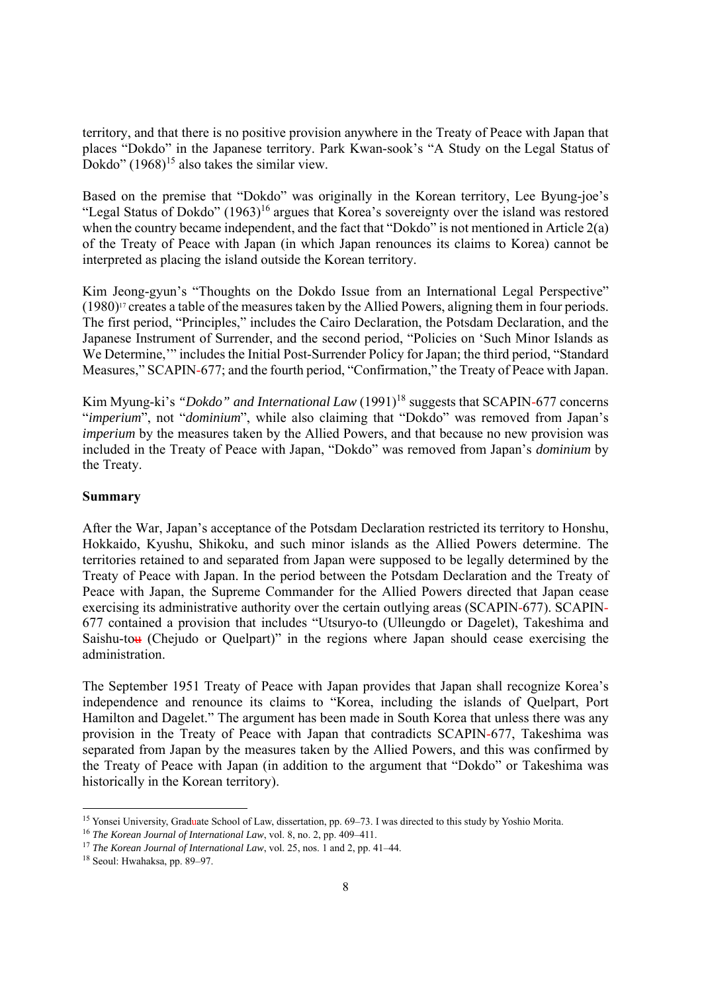territory, and that there is no positive provision anywhere in the Treaty of Peace with Japan that places "Dokdo" in the Japanese territory. Park Kwan-sook's "A Study on the Legal Status of Dokdo"  $(1968)^{15}$  also takes the similar view.

Based on the premise that "Dokdo" was originally in the Korean territory, Lee Byung-joe's "Legal Status of Dokdo" (1963)<sup>16</sup> argues that Korea's sovereignty over the island was restored when the country became independent, and the fact that "Dokdo" is not mentioned in Article 2(a) of the Treaty of Peace with Japan (in which Japan renounces its claims to Korea) cannot be interpreted as placing the island outside the Korean territory.

Kim Jeong-gyun's "Thoughts on the Dokdo Issue from an International Legal Perspective" (1980)17 creates a table of the measures taken by the Allied Powers, aligning them in four periods. The first period, "Principles," includes the Cairo Declaration, the Potsdam Declaration, and the Japanese Instrument of Surrender, and the second period, "Policies on 'Such Minor Islands as We Determine,'" includes the Initial Post-Surrender Policy for Japan; the third period, "Standard Measures," SCAPIN-677; and the fourth period, "Confirmation," the Treaty of Peace with Japan.

Kim Myung-ki's *"Dokdo" and International Law* (1991)<sup>18</sup> suggests that SCAPIN-677 concerns "*imperium*", not "*dominium*", while also claiming that "Dokdo" was removed from Japan's *imperium* by the measures taken by the Allied Powers, and that because no new provision was included in the Treaty of Peace with Japan, "Dokdo" was removed from Japan's *dominium* by the Treaty.

# **Summary**

After the War, Japan's acceptance of the Potsdam Declaration restricted its territory to Honshu, Hokkaido, Kyushu, Shikoku, and such minor islands as the Allied Powers determine. The territories retained to and separated from Japan were supposed to be legally determined by the Treaty of Peace with Japan. In the period between the Potsdam Declaration and the Treaty of Peace with Japan, the Supreme Commander for the Allied Powers directed that Japan cease exercising its administrative authority over the certain outlying areas (SCAPIN-677). SCAPIN-677 contained a provision that includes "Utsuryo-to (Ulleungdo or Dagelet), Takeshima and Saishu-tou (Chejudo or Quelpart)" in the regions where Japan should cease exercising the administration.

The September 1951 Treaty of Peace with Japan provides that Japan shall recognize Korea's independence and renounce its claims to "Korea, including the islands of Quelpart, Port Hamilton and Dagelet." The argument has been made in South Korea that unless there was any provision in the Treaty of Peace with Japan that contradicts SCAPIN-677, Takeshima was separated from Japan by the measures taken by the Allied Powers, and this was confirmed by the Treaty of Peace with Japan (in addition to the argument that "Dokdo" or Takeshima was historically in the Korean territory).

<sup>&</sup>lt;sup>15</sup> Yonsei University, Graduate School of Law, dissertation, pp. 69–73. I was directed to this study by Yoshio Morita.<br><sup>16</sup> *The Korean Journal of International Law*, vol. 8, no. 2, pp. 409–411.<br><sup>17</sup> *The Korean Journal*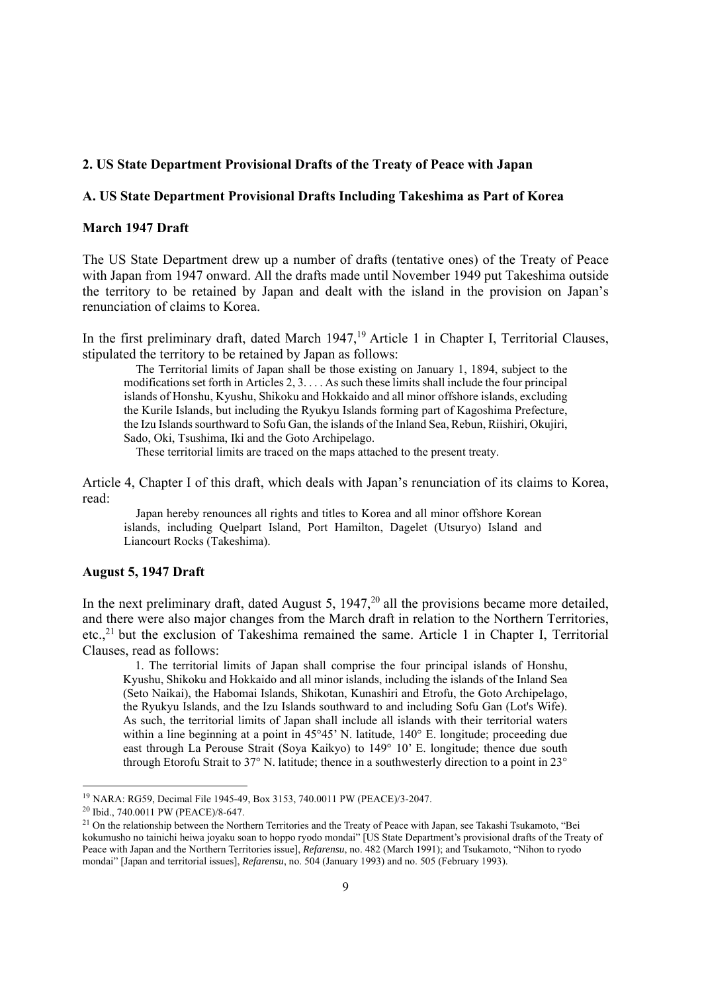# **2. US State Department Provisional Drafts of the Treaty of Peace with Japan**

### **A. US State Department Provisional Drafts Including Takeshima as Part of Korea**

## **March 1947 Draft**

The US State Department drew up a number of drafts (tentative ones) of the Treaty of Peace with Japan from 1947 onward. All the drafts made until November 1949 put Takeshima outside the territory to be retained by Japan and dealt with the island in the provision on Japan's renunciation of claims to Korea.

In the first preliminary draft, dated March  $1947<sup>19</sup>$  Article 1 in Chapter I, Territorial Clauses, stipulated the territory to be retained by Japan as follows:

The Territorial limits of Japan shall be those existing on January 1, 1894, subject to the modifications set forth in Articles 2, 3. . . . As such these limits shall include the four principal islands of Honshu, Kyushu, Shikoku and Hokkaido and all minor offshore islands, excluding the Kurile Islands, but including the Ryukyu Islands forming part of Kagoshima Prefecture, the Izu Islands sourthward to Sofu Gan, the islands of the Inland Sea, Rebun, Riishiri, Okujiri, Sado, Oki, Tsushima, Iki and the Goto Archipelago.

These territorial limits are traced on the maps attached to the present treaty.

Article 4, Chapter I of this draft, which deals with Japan's renunciation of its claims to Korea, read:

Japan hereby renounces all rights and titles to Korea and all minor offshore Korean islands, including Quelpart Island, Port Hamilton, Dagelet (Utsuryo) Island and Liancourt Rocks (Takeshima).

#### **August 5, 1947 Draft**

In the next preliminary draft, dated August 5,  $1947<sup>20</sup>$  all the provisions became more detailed, and there were also major changes from the March draft in relation to the Northern Territories, etc..<sup>21</sup> but the exclusion of Takeshima remained the same. Article 1 in Chapter I, Territorial Clauses, read as follows:

1. The territorial limits of Japan shall comprise the four principal islands of Honshu, Kyushu, Shikoku and Hokkaido and all minor islands, including the islands of the Inland Sea (Seto Naikai), the Habomai Islands, Shikotan, Kunashiri and Etrofu, the Goto Archipelago, the Ryukyu Islands, and the Izu Islands southward to and including Sofu Gan (Lot's Wife). As such, the territorial limits of Japan shall include all islands with their territorial waters within a line beginning at a point in 45°45' N. latitude, 140° E. longitude; proceeding due east through La Perouse Strait (Soya Kaikyo) to 149° 10' E. longitude; thence due south through Etorofu Strait to 37° N. latitude; thence in a southwesterly direction to a point in 23°

<sup>&</sup>lt;sup>19</sup> NARA: RG59, Decimal File 1945-49, Box 3153, 740.0011 PW (PEACE)/3-2047.<br><sup>20</sup> Ibid., 740.0011 PW (PEACE)/8-647.

<sup>&</sup>lt;sup>21</sup> On the relationship between the Northern Territories and the Treaty of Peace with Japan, see Takashi Tsukamoto, "Bei kokumusho no tainichi heiwa joyaku soan to hoppo ryodo mondai" [US State Department's provisional drafts of the Treaty of Peace with Japan and the Northern Territories issue], *Refarensu*, no. 482 (March 1991); and Tsukamoto, "Nihon to ryodo mondai" [Japan and territorial issues], *Refarensu*, no. 504 (January 1993) and no. 505 (February 1993).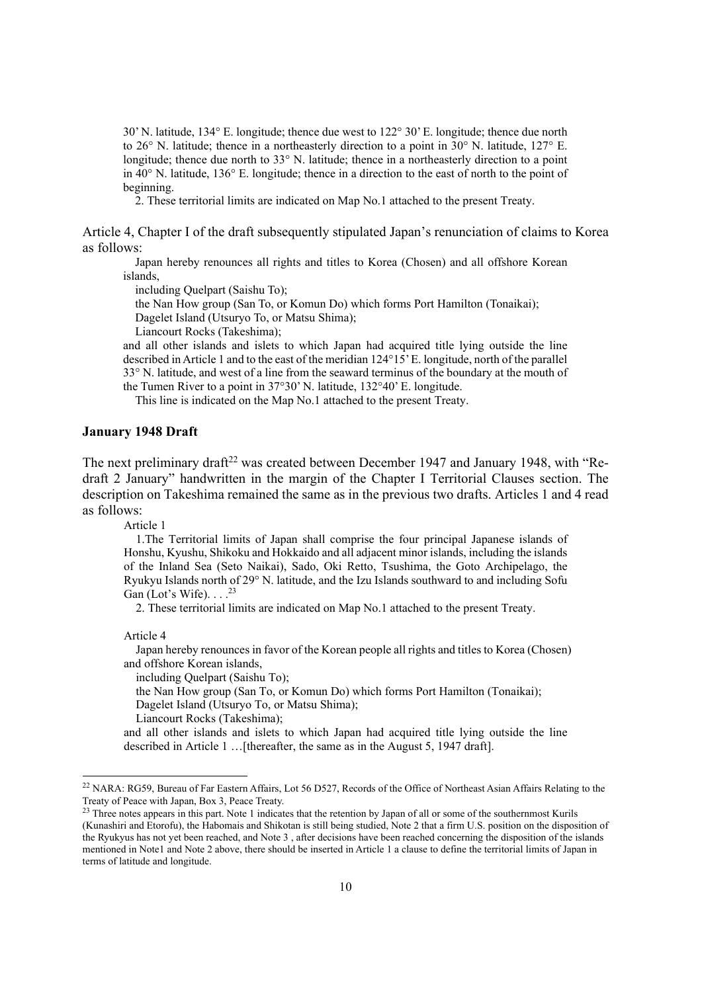30' N. latitude, 134° E. longitude; thence due west to 122° 30' E. longitude; thence due north to 26° N. latitude; thence in a northeasterly direction to a point in 30° N. latitude, 127° E. longitude; thence due north to 33° N. latitude; thence in a northeasterly direction to a point in 40° N. latitude, 136° E. longitude; thence in a direction to the east of north to the point of beginning.

2. These territorial limits are indicated on Map No.1 attached to the present Treaty.

Article 4, Chapter I of the draft subsequently stipulated Japan's renunciation of claims to Korea as follows:

Japan hereby renounces all rights and titles to Korea (Chosen) and all offshore Korean islands,

including Quelpart (Saishu To);

the Nan How group (San To, or Komun Do) which forms Port Hamilton (Tonaikai);

Dagelet Island (Utsuryo To, or Matsu Shima);

Liancourt Rocks (Takeshima);

and all other islands and islets to which Japan had acquired title lying outside the line described in Article 1 and to the east of the meridian 124°15' E. longitude, north of the parallel 33° N. latitude, and west of a line from the seaward terminus of the boundary at the mouth of the Tumen River to a point in 37°30' N. latitude, 132°40' E. longitude.

This line is indicated on the Map No.1 attached to the present Treaty.

# **January 1948 Draft**

The next preliminary draft<sup>22</sup> was created between December 1947 and January 1948, with "Redraft 2 January" handwritten in the margin of the Chapter I Territorial Clauses section. The description on Takeshima remained the same as in the previous two drafts. Articles 1 and 4 read as follows:

Article 1

1.The Territorial limits of Japan shall comprise the four principal Japanese islands of Honshu, Kyushu, Shikoku and Hokkaido and all adjacent minor islands, including the islands of the Inland Sea (Seto Naikai), Sado, Oki Retto, Tsushima, the Goto Archipelago, the Ryukyu Islands north of 29° N. latitude, and the Izu Islands southward to and including Sofu Gan (Lot's Wife).  $\ldots$ <sup>23</sup>

2. These territorial limits are indicated on Map No.1 attached to the present Treaty.

Article 4

Japan hereby renounces in favor of the Korean people all rights and titles to Korea (Chosen) and offshore Korean islands,

including Quelpart (Saishu To);

the Nan How group (San To, or Komun Do) which forms Port Hamilton (Tonaikai);

Dagelet Island (Utsuryo To, or Matsu Shima);

Liancourt Rocks (Takeshima);

and all other islands and islets to which Japan had acquired title lying outside the line described in Article 1 …[thereafter, the same as in the August 5, 1947 draft].

<sup>&</sup>lt;sup>22</sup> NARA: RG59, Bureau of Far Eastern Affairs, Lot 56 D527, Records of the Office of Northeast Asian Affairs Relating to the Treaty of Peace with Japan, Box 3, Peace Treaty.

 $23$  Three notes appears in this part. Note 1 indicates that the retention by Japan of all or some of the southernmost Kurils (Kunashiri and Etorofu), the Habomais and Shikotan is still being studied, Note 2 that a firm U.S. position on the disposition of the Ryukyus has not yet been reached, and Note 3 , after decisions have been reached concerning the disposition of the islands mentioned in Note1 and Note 2 above, there should be inserted in Article 1 a clause to define the territorial limits of Japan in terms of latitude and longitude.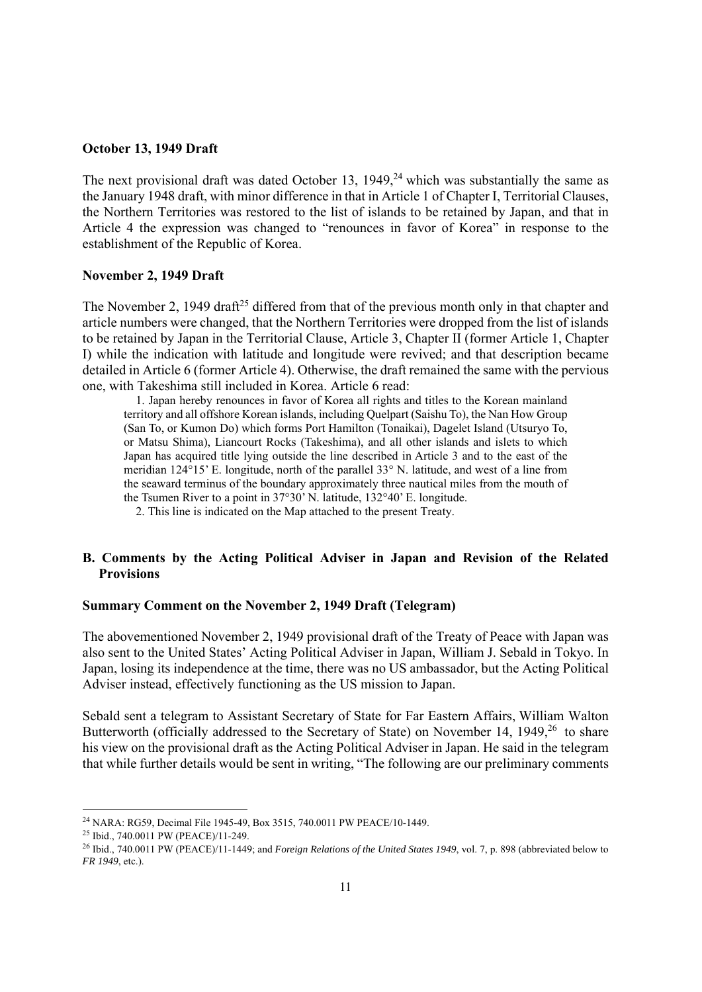### **October 13, 1949 Draft**

The next provisional draft was dated October 13,  $1949<sup>24</sup>$  which was substantially the same as the January 1948 draft, with minor difference in that in Article 1 of Chapter I, Territorial Clauses, the Northern Territories was restored to the list of islands to be retained by Japan, and that in Article 4 the expression was changed to "renounces in favor of Korea" in response to the establishment of the Republic of Korea.

# **November 2, 1949 Draft**

The November 2, 1949 draft<sup>25</sup> differed from that of the previous month only in that chapter and article numbers were changed, that the Northern Territories were dropped from the list of islands to be retained by Japan in the Territorial Clause, Article 3, Chapter II (former Article 1, Chapter I) while the indication with latitude and longitude were revived; and that description became detailed in Article 6 (former Article 4). Otherwise, the draft remained the same with the pervious one, with Takeshima still included in Korea. Article 6 read:

1. Japan hereby renounces in favor of Korea all rights and titles to the Korean mainland territory and all offshore Korean islands, including Quelpart (Saishu To), the Nan How Group (San To, or Kumon Do) which forms Port Hamilton (Tonaikai), Dagelet Island (Utsuryo To, or Matsu Shima), Liancourt Rocks (Takeshima), and all other islands and islets to which Japan has acquired title lying outside the line described in Article 3 and to the east of the meridian 124°15' E. longitude, north of the parallel 33° N. latitude, and west of a line from the seaward terminus of the boundary approximately three nautical miles from the mouth of the Tsumen River to a point in 37°30' N. latitude, 132°40' E. longitude.

2. This line is indicated on the Map attached to the present Treaty.

# **B. Comments by the Acting Political Adviser in Japan and Revision of the Related Provisions**

### **Summary Comment on the November 2, 1949 Draft (Telegram)**

The abovementioned November 2, 1949 provisional draft of the Treaty of Peace with Japan was also sent to the United States' Acting Political Adviser in Japan, William J. Sebald in Tokyo. In Japan, losing its independence at the time, there was no US ambassador, but the Acting Political Adviser instead, effectively functioning as the US mission to Japan.

Sebald sent a telegram to Assistant Secretary of State for Far Eastern Affairs, William Walton Butterworth (officially addressed to the Secretary of State) on November 14, 1949,<sup>26</sup> to share his view on the provisional draft as the Acting Political Adviser in Japan. He said in the telegram that while further details would be sent in writing, "The following are our preliminary comments

<sup>&</sup>lt;sup>24</sup> NARA: RG59, Decimal File 1945-49, Box 3515, 740.0011 PW PEACE/10-1449.<br><sup>25</sup> Ibid., 740.0011 PW (PEACE)/11-249.<br><sup>26</sup> Ibid., 740.0011 PW (PEACE)/11-1449: and *Foreign Relations of the United States 1949*, vol. 7, p. 89 *FR 1949*, etc.).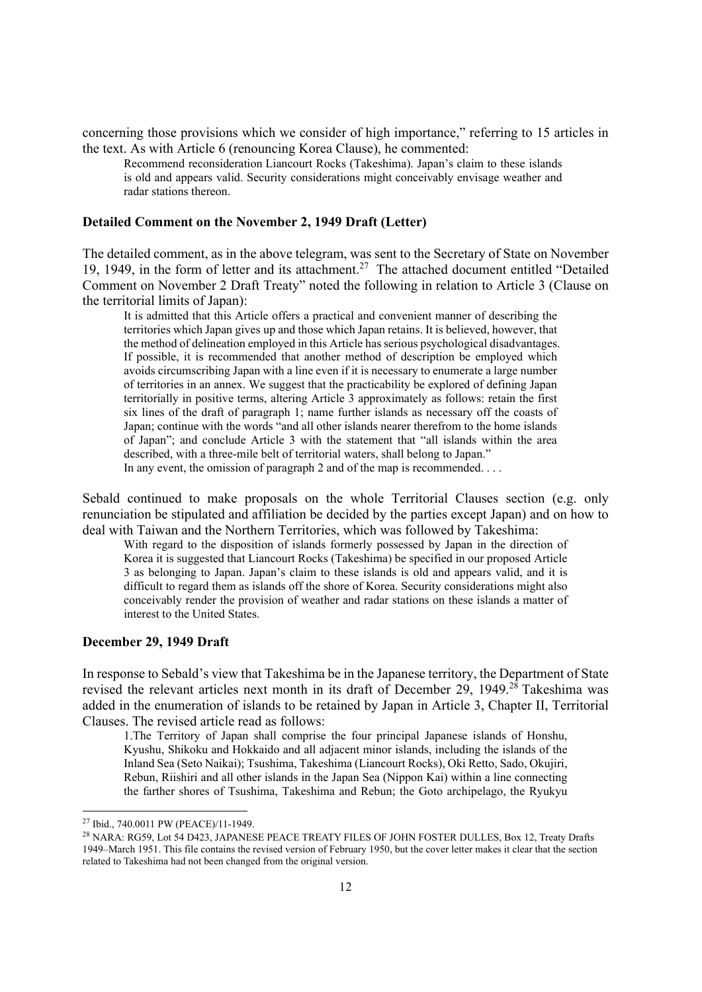concerning those provisions which we consider of high importance," referring to 15 articles in the text. As with Article 6 (renouncing Korea Clause), he commented:

Recommend reconsideration Liancourt Rocks (Takeshima). Japan's claim to these islands is old and appears valid. Security considerations might conceivably envisage weather and radar stations thereon.

### **Detailed Comment on the November 2, 1949 Draft (Letter)**

The detailed comment, as in the above telegram, was sent to the Secretary of State on November 19, 1949, in the form of letter and its attachment.27 The attached document entitled "Detailed Comment on November 2 Draft Treaty" noted the following in relation to Article 3 (Clause on the territorial limits of Japan):

It is admitted that this Article offers a practical and convenient manner of describing the territories which Japan gives up and those which Japan retains. It is believed, however, that the method of delineation employed in this Article has serious psychological disadvantages. If possible, it is recommended that another method of description be employed which avoids circumscribing Japan with a line even if it is necessary to enumerate a large number of territories in an annex. We suggest that the practicability be explored of defining Japan territorially in positive terms, altering Article 3 approximately as follows: retain the first six lines of the draft of paragraph 1; name further islands as necessary off the coasts of Japan; continue with the words "and all other islands nearer therefrom to the home islands of Japan"; and conclude Article 3 with the statement that "all islands within the area described, with a three-mile belt of territorial waters, shall belong to Japan." In any event, the omission of paragraph 2 and of the map is recommended.  $\dots$ 

Sebald continued to make proposals on the whole Territorial Clauses section (e.g. only renunciation be stipulated and affiliation be decided by the parties except Japan) and on how to deal with Taiwan and the Northern Territories, which was followed by Takeshima:

With regard to the disposition of islands formerly possessed by Japan in the direction of Korea it is suggested that Liancourt Rocks (Takeshima) be specified in our proposed Article 3 as belonging to Japan. Japan's claim to these islands is old and appears valid, and it is difficult to regard them as islands off the shore of Korea. Security considerations might also conceivably render the provision of weather and radar stations on these islands a matter of interest to the United States.

### **December 29, 1949 Draft**

In response to Sebald's view that Takeshima be in the Japanese territory, the Department of State revised the relevant articles next month in its draft of December 29, 1949.<sup>28</sup> Takeshima was added in the enumeration of islands to be retained by Japan in Article 3, Chapter II, Territorial Clauses. The revised article read as follows:

1.The Territory of Japan shall comprise the four principal Japanese islands of Honshu, Kyushu, Shikoku and Hokkaido and all adjacent minor islands, including the islands of the Inland Sea (Seto Naikai); Tsushima, Takeshima (Liancourt Rocks), Oki Retto, Sado, Okujiri, Rebun, Riishiri and all other islands in the Japan Sea (Nippon Kai) within a line connecting the farther shores of Tsushima, Takeshima and Rebun; the Goto archipelago, the Ryukyu

<sup>&</sup>lt;sup>27</sup> Ibid., 740.0011 PW (PEACE)/11-1949.<br><sup>28</sup> NARA: RG59, Lot 54 D423, JAPANESE PEACE TREATY FILES OF JOHN FOSTER DULLES, Box 12, Treaty Drafts 1949–March 1951. This file contains the revised version of February 1950, but the cover letter makes it clear that the section related to Takeshima had not been changed from the original version.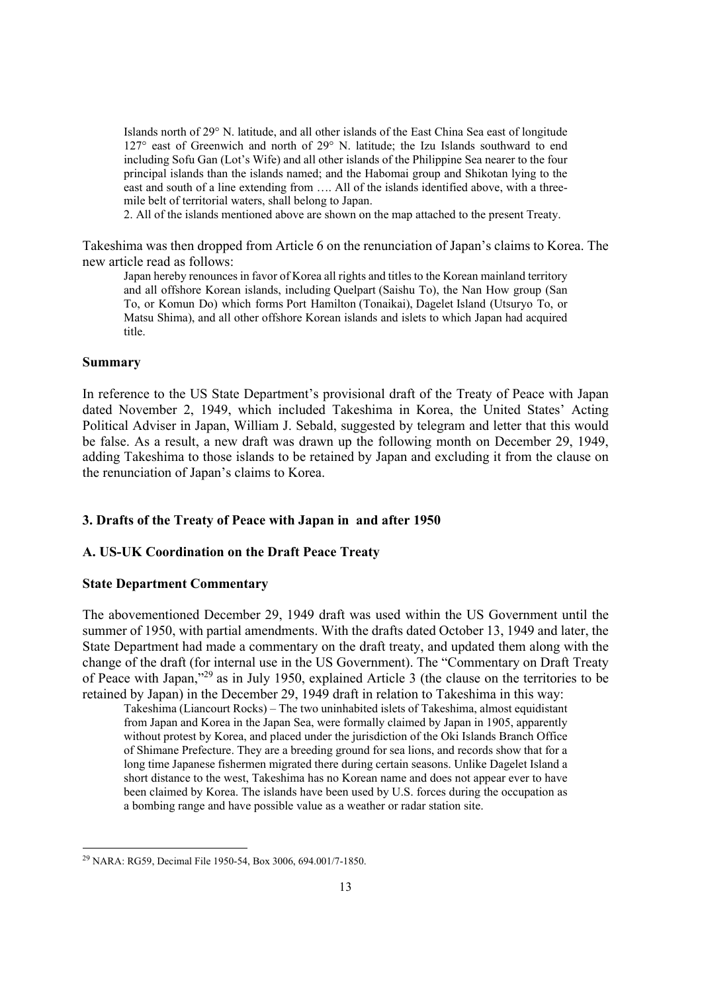Islands north of 29° N. latitude, and all other islands of the East China Sea east of longitude 127° east of Greenwich and north of 29° N. latitude; the Izu Islands southward to end including Sofu Gan (Lot's Wife) and all other islands of the Philippine Sea nearer to the four principal islands than the islands named; and the Habomai group and Shikotan lying to the east and south of a line extending from …. All of the islands identified above, with a threemile belt of territorial waters, shall belong to Japan.

2. All of the islands mentioned above are shown on the map attached to the present Treaty.

Takeshima was then dropped from Article 6 on the renunciation of Japan's claims to Korea. The new article read as follows:

Japan hereby renounces in favor of Korea all rights and titles to the Korean mainland territory and all offshore Korean islands, including Quelpart (Saishu To), the Nan How group (San To, or Komun Do) which forms Port Hamilton (Tonaikai), Dagelet Island (Utsuryo To, or Matsu Shima), and all other offshore Korean islands and islets to which Japan had acquired title.

#### **Summary**

In reference to the US State Department's provisional draft of the Treaty of Peace with Japan dated November 2, 1949, which included Takeshima in Korea, the United States' Acting Political Adviser in Japan, William J. Sebald, suggested by telegram and letter that this would be false. As a result, a new draft was drawn up the following month on December 29, 1949, adding Takeshima to those islands to be retained by Japan and excluding it from the clause on the renunciation of Japan's claims to Korea.

### **3. Drafts of the Treaty of Peace with Japan in and after 1950**

### **A. US-UK Coordination on the Draft Peace Treaty**

## **State Department Commentary**

The abovementioned December 29, 1949 draft was used within the US Government until the summer of 1950, with partial amendments. With the drafts dated October 13, 1949 and later, the State Department had made a commentary on the draft treaty, and updated them along with the change of the draft (for internal use in the US Government). The "Commentary on Draft Treaty of Peace with Japan,"29 as in July 1950, explained Article 3 (the clause on the territories to be retained by Japan) in the December 29, 1949 draft in relation to Takeshima in this way:

Takeshima (Liancourt Rocks) – The two uninhabited islets of Takeshima, almost equidistant from Japan and Korea in the Japan Sea, were formally claimed by Japan in 1905, apparently without protest by Korea, and placed under the jurisdiction of the Oki Islands Branch Office of Shimane Prefecture. They are a breeding ground for sea lions, and records show that for a long time Japanese fishermen migrated there during certain seasons. Unlike Dagelet Island a short distance to the west, Takeshima has no Korean name and does not appear ever to have been claimed by Korea. The islands have been used by U.S. forces during the occupation as a bombing range and have possible value as a weather or radar station site.

<sup>29</sup> NARA: RG59, Decimal File 1950-54, Box 3006, 694.001/7-1850.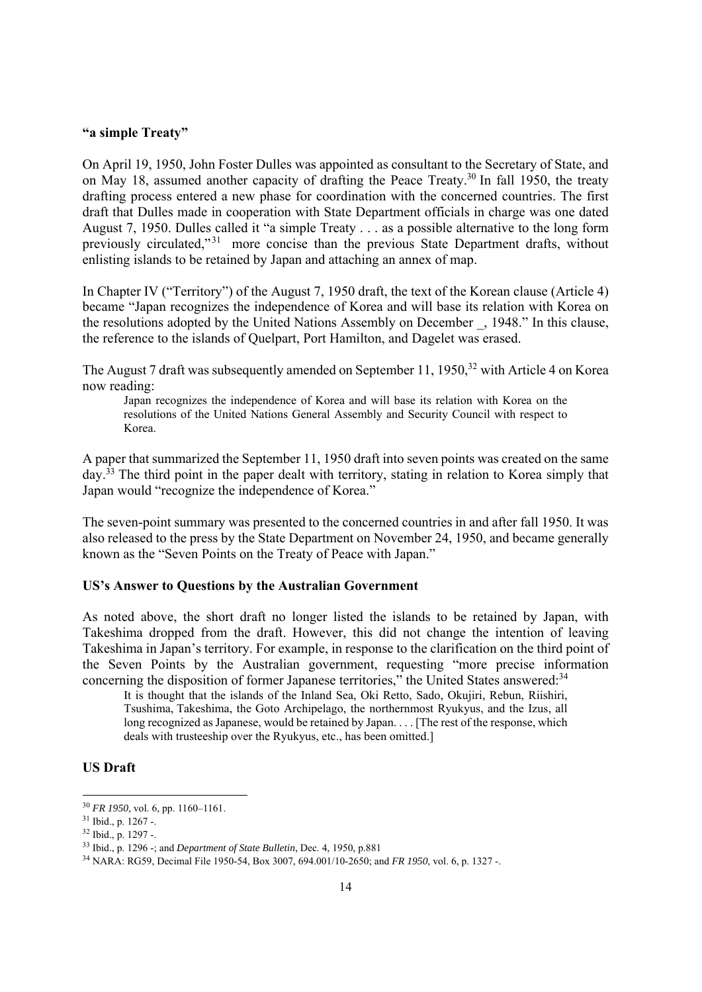### **"a simple Treaty"**

On April 19, 1950, John Foster Dulles was appointed as consultant to the Secretary of State, and on May 18, assumed another capacity of drafting the Peace Treaty.<sup>30</sup> In fall 1950, the treaty drafting process entered a new phase for coordination with the concerned countries. The first draft that Dulles made in cooperation with State Department officials in charge was one dated August 7, 1950. Dulles called it "a simple Treaty . . . as a possible alternative to the long form previously circulated,"<sup>31</sup> more concise than the previous State Department drafts, without enlisting islands to be retained by Japan and attaching an annex of map.

In Chapter IV ("Territory") of the August 7, 1950 draft, the text of the Korean clause (Article 4) became "Japan recognizes the independence of Korea and will base its relation with Korea on the resolutions adopted by the United Nations Assembly on December \_, 1948." In this clause, the reference to the islands of Quelpart, Port Hamilton, and Dagelet was erased.

The August 7 draft was subsequently amended on September 11, 1950,<sup>32</sup> with Article 4 on Korea now reading:

Japan recognizes the independence of Korea and will base its relation with Korea on the resolutions of the United Nations General Assembly and Security Council with respect to Korea.

A paper that summarized the September 11, 1950 draft into seven points was created on the same day.<sup>33</sup> The third point in the paper dealt with territory, stating in relation to Korea simply that Japan would "recognize the independence of Korea."

The seven-point summary was presented to the concerned countries in and after fall 1950. It was also released to the press by the State Department on November 24, 1950, and became generally known as the "Seven Points on the Treaty of Peace with Japan."

### **US's Answer to Questions by the Australian Government**

As noted above, the short draft no longer listed the islands to be retained by Japan, with Takeshima dropped from the draft. However, this did not change the intention of leaving Takeshima in Japan's territory. For example, in response to the clarification on the third point of the Seven Points by the Australian government, requesting "more precise information concerning the disposition of former Japanese territories," the United States answered:<sup>34</sup>

It is thought that the islands of the Inland Sea, Oki Retto, Sado, Okujiri, Rebun, Riishiri, Tsushima, Takeshima, the Goto Archipelago, the northernmost Ryukyus, and the Izus, all long recognized as Japanese, would be retained by Japan. . . . [The rest of the response, which deals with trusteeship over the Ryukyus, etc., has been omitted.]

# **US Draft**

<sup>&</sup>lt;sup>30</sup> *FR 1950*, vol. 6, pp. 1160–1161.<br><sup>31</sup> Ibid., p. 1267 -.

 $32$  Ibid., p. 1297 -.<br> $33$  Ibid., p. 1296 -; and *Department of State Bulletin*, Dec. 4, 1950, p.881

<sup>&</sup>lt;sup>34</sup> NARA: RG59, Decimal File 1950-54, Box 3007, 694.001/10-2650; and *FR 1950*, vol. 6, p. 1327 -.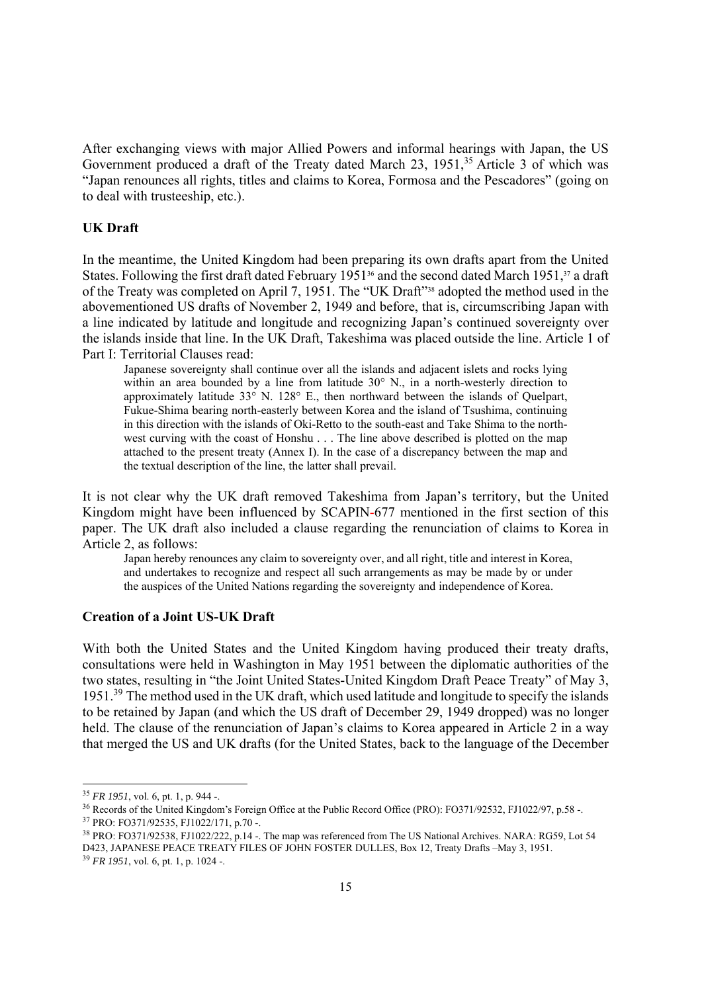After exchanging views with major Allied Powers and informal hearings with Japan, the US Government produced a draft of the Treaty dated March 23, 1951,<sup>35</sup> Article 3 of which was "Japan renounces all rights, titles and claims to Korea, Formosa and the Pescadores" (going on to deal with trusteeship, etc.).

# **UK Draft**

In the meantime, the United Kingdom had been preparing its own drafts apart from the United States. Following the first draft dated February 1951<sup>36</sup> and the second dated March 1951,<sup>37</sup> a draft of the Treaty was completed on April 7, 1951. The "UK Draft"38 adopted the method used in the abovementioned US drafts of November 2, 1949 and before, that is, circumscribing Japan with a line indicated by latitude and longitude and recognizing Japan's continued sovereignty over the islands inside that line. In the UK Draft, Takeshima was placed outside the line. Article 1 of Part I: Territorial Clauses read:

Japanese sovereignty shall continue over all the islands and adjacent islets and rocks lying within an area bounded by a line from latitude 30° N., in a north-westerly direction to approximately latitude  $33^{\circ}$  N.  $128^{\circ}$  E., then northward between the islands of Quelpart, Fukue-Shima bearing north-easterly between Korea and the island of Tsushima, continuing in this direction with the islands of Oki-Retto to the south-east and Take Shima to the northwest curving with the coast of Honshu . . . The line above described is plotted on the map attached to the present treaty (Annex I). In the case of a discrepancy between the map and the textual description of the line, the latter shall prevail.

It is not clear why the UK draft removed Takeshima from Japan's territory, but the United Kingdom might have been influenced by SCAPIN-677 mentioned in the first section of this paper. The UK draft also included a clause regarding the renunciation of claims to Korea in Article 2, as follows:

Japan hereby renounces any claim to sovereignty over, and all right, title and interest in Korea, and undertakes to recognize and respect all such arrangements as may be made by or under the auspices of the United Nations regarding the sovereignty and independence of Korea.

## **Creation of a Joint US-UK Draft**

With both the United States and the United Kingdom having produced their treaty drafts, consultations were held in Washington in May 1951 between the diplomatic authorities of the two states, resulting in "the Joint United States-United Kingdom Draft Peace Treaty" of May 3, 1951.39 The method used in the UK draft, which used latitude and longitude to specify the islands to be retained by Japan (and which the US draft of December 29, 1949 dropped) was no longer held. The clause of the renunciation of Japan's claims to Korea appeared in Article 2 in a way that merged the US and UK drafts (for the United States, back to the language of the December

<sup>&</sup>lt;sup>35</sup> *FR 1951*, vol. 6, pt. 1, p. 944 -.<br><sup>36</sup> Records of the United Kingdom's Foreign Office at the Public Record Office (PRO): FO371/92532, FJ1022/97, p.58 -.<br><sup>37</sup> PRO: FO371/92535, FJ1022/171, p.70 -.

<sup>&</sup>lt;sup>38</sup> PRO: FO371/92538, FJ1022/222, p.14 -. The map was referenced from The US National Archives. NARA: RG59, Lot 54 D423, JAPANESE PEACE TREATY FILES OF JOHN FOSTER DULLES, Box 12, Treaty Drafts –May 3, 1951. 39 *FR 1951*, vol. 6, pt. 1, p. 1024 -.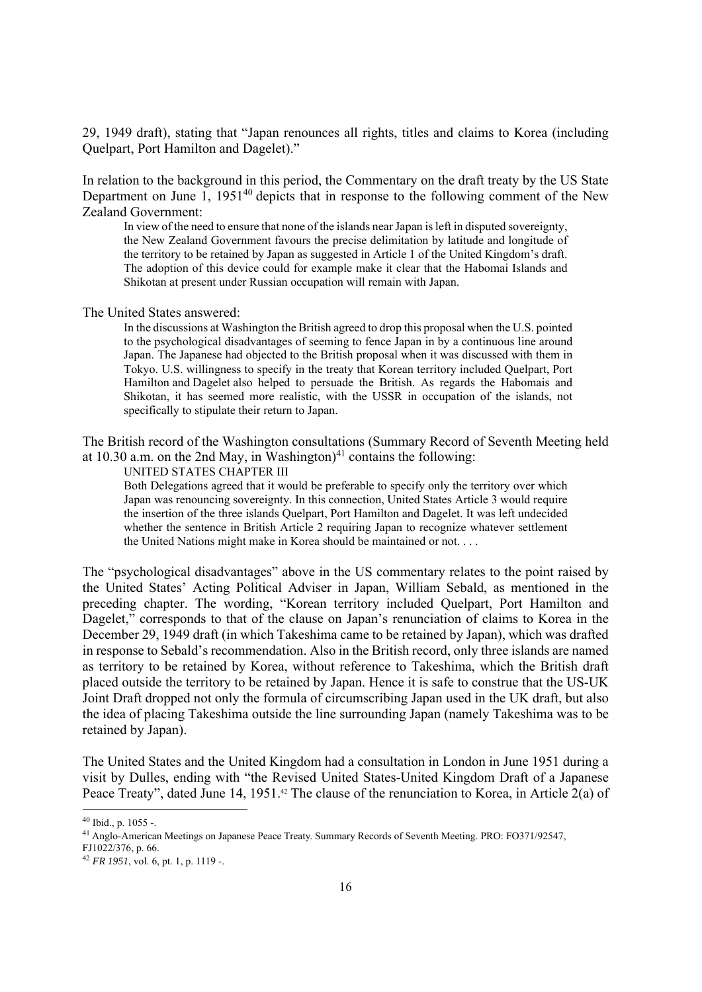29, 1949 draft), stating that "Japan renounces all rights, titles and claims to Korea (including Quelpart, Port Hamilton and Dagelet)."

In relation to the background in this period, the Commentary on the draft treaty by the US State Department on June 1, 1951<sup>40</sup> depicts that in response to the following comment of the New Zealand Government:

In view of the need to ensure that none of the islands near Japan is left in disputed sovereignty, the New Zealand Government favours the precise delimitation by latitude and longitude of the territory to be retained by Japan as suggested in Article 1 of the United Kingdom's draft. The adoption of this device could for example make it clear that the Habomai Islands and Shikotan at present under Russian occupation will remain with Japan.

#### The United States answered:

In the discussions at Washington the British agreed to drop this proposal when the U.S. pointed to the psychological disadvantages of seeming to fence Japan in by a continuous line around Japan. The Japanese had objected to the British proposal when it was discussed with them in Tokyo. U.S. willingness to specify in the treaty that Korean territory included Quelpart, Port Hamilton and Dagelet also helped to persuade the British. As regards the Habomais and Shikotan, it has seemed more realistic, with the USSR in occupation of the islands, not specifically to stipulate their return to Japan.

The British record of the Washington consultations (Summary Record of Seventh Meeting held at 10.30 a.m. on the 2nd May, in Washington)<sup>41</sup> contains the following:

UNITED STATES CHAPTER III

Both Delegations agreed that it would be preferable to specify only the territory over which Japan was renouncing sovereignty. In this connection, United States Article 3 would require the insertion of the three islands Quelpart, Port Hamilton and Dagelet. It was left undecided whether the sentence in British Article 2 requiring Japan to recognize whatever settlement the United Nations might make in Korea should be maintained or not. . . .

The "psychological disadvantages" above in the US commentary relates to the point raised by the United States' Acting Political Adviser in Japan, William Sebald, as mentioned in the preceding chapter. The wording, "Korean territory included Quelpart, Port Hamilton and Dagelet," corresponds to that of the clause on Japan's renunciation of claims to Korea in the December 29, 1949 draft (in which Takeshima came to be retained by Japan), which was drafted in response to Sebald's recommendation. Also in the British record, only three islands are named as territory to be retained by Korea, without reference to Takeshima, which the British draft placed outside the territory to be retained by Japan. Hence it is safe to construe that the US-UK Joint Draft dropped not only the formula of circumscribing Japan used in the UK draft, but also the idea of placing Takeshima outside the line surrounding Japan (namely Takeshima was to be retained by Japan).

The United States and the United Kingdom had a consultation in London in June 1951 during a visit by Dulles, ending with "the Revised United States-United Kingdom Draft of a Japanese Peace Treaty", dated June 14, 1951.<sup>42</sup> The clause of the renunciation to Korea, in Article 2(a) of

<sup>40</sup> Ibid., p. 1055 -.

<sup>41</sup> Anglo-American Meetings on Japanese Peace Treaty. Summary Records of Seventh Meeting. PRO: FO371/92547,

FJ1022/376, p. 66.

<sup>42</sup> *FR 1951*, vol. 6, pt. 1, p. 1119 -.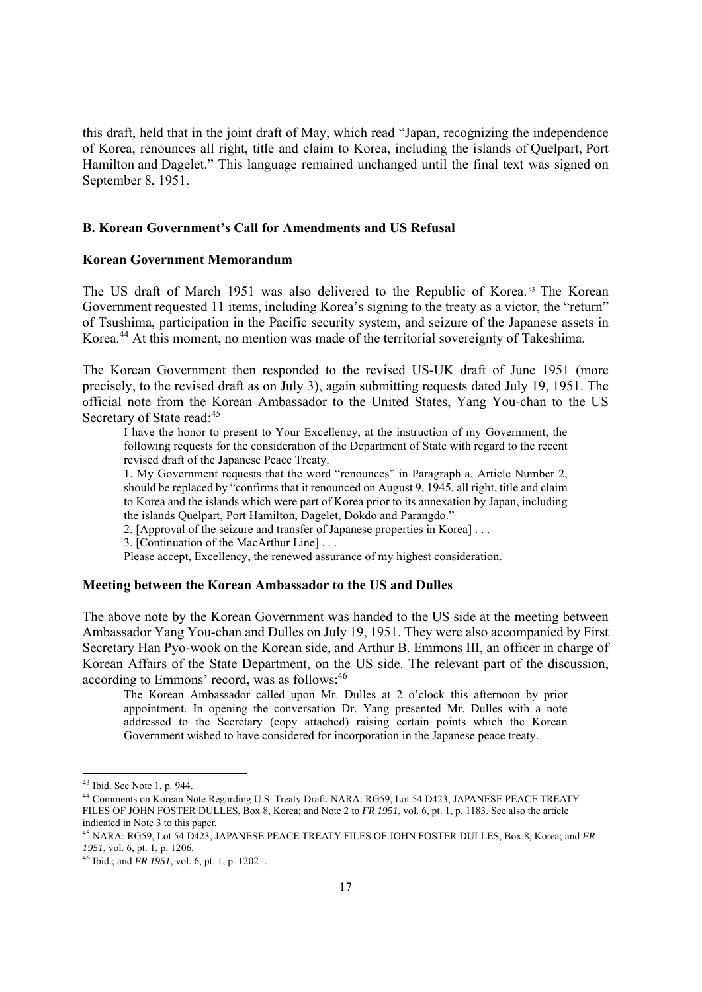this draft, held that in the joint draft of May, which read "Japan, recognizing the independence of Korea, renounces all right, title and claim to Korea, including the islands of Quelpart, Port Hamilton and Dagelet." This language remained unchanged until the final text was signed on September 8, 1951.

# **B. Korean Government's Call for Amendments and US Refusal**

### **Korean Government Memorandum**

The US draft of March 1951 was also delivered to the Republic of Korea. 43 The Korean Government requested 11 items, including Korea's signing to the treaty as a victor, the "return" of Tsushima, participation in the Pacific security system, and seizure of the Japanese assets in Korea.<sup>44</sup> At this moment, no mention was made of the territorial sovereignty of Takeshima.

The Korean Government then responded to the revised US-UK draft of June 1951 (more precisely, to the revised draft as on July 3), again submitting requests dated July 19, 1951. The official note from the Korean Ambassador to the United States, Yang You-chan to the US Secretary of State read:<sup>45</sup>

I have the honor to present to Your Excellency, at the instruction of my Government, the following requests for the consideration of the Department of State with regard to the recent revised draft of the Japanese Peace Treaty.

1. My Government requests that the word "renounces" in Paragraph a, Article Number 2, should be replaced by "confirms that it renounced on August 9, 1945, all right, title and claim to Korea and the islands which were part of Korea prior to its annexation by Japan, including the islands Quelpart, Port Hamilton, Dagelet, Dokdo and Parangdo."

2. [Approval of the seizure and transfer of Japanese properties in Korea] . . .

3. [Continuation of the MacArthur Line] . . .

Please accept, Excellency, the renewed assurance of my highest consideration.

#### **Meeting between the Korean Ambassador to the US and Dulles**

The above note by the Korean Government was handed to the US side at the meeting between Ambassador Yang You-chan and Dulles on July 19, 1951. They were also accompanied by First Secretary Han Pyo-wook on the Korean side, and Arthur B. Emmons III, an officer in charge of Korean Affairs of the State Department, on the US side. The relevant part of the discussion, according to Emmons' record, was as follows:<sup>46</sup>

The Korean Ambassador called upon Mr. Dulles at 2 o'clock this afternoon by prior appointment. In opening the conversation Dr. Yang presented Mr. Dulles with a note addressed to the Secretary (copy attached) raising certain points which the Korean Government wished to have considered for incorporation in the Japanese peace treaty.

<sup>43</sup> Ibid. See Note 1, p. 944.

<sup>44</sup> Comments on Korean Note Regarding U.S. Treaty Draft. NARA: RG59, Lot 54 D423, JAPANESE PEACE TREATY FILES OF JOHN FOSTER DULLES, Box 8, Korea; and Note 2 to *FR 1951*, vol. 6, pt. 1, p. 1183. See also the article indicated in Note 3 to this paper.

<sup>45</sup> NARA: RG59, Lot 54 D423, JAPANESE PEACE TREATY FILES OF JOHN FOSTER DULLES, Box 8, Korea; and *FR* 

<sup>&</sup>lt;sup>46</sup> Ibid.; and *FR 1951*, vol. 6, pt. 1, p. 1202 -.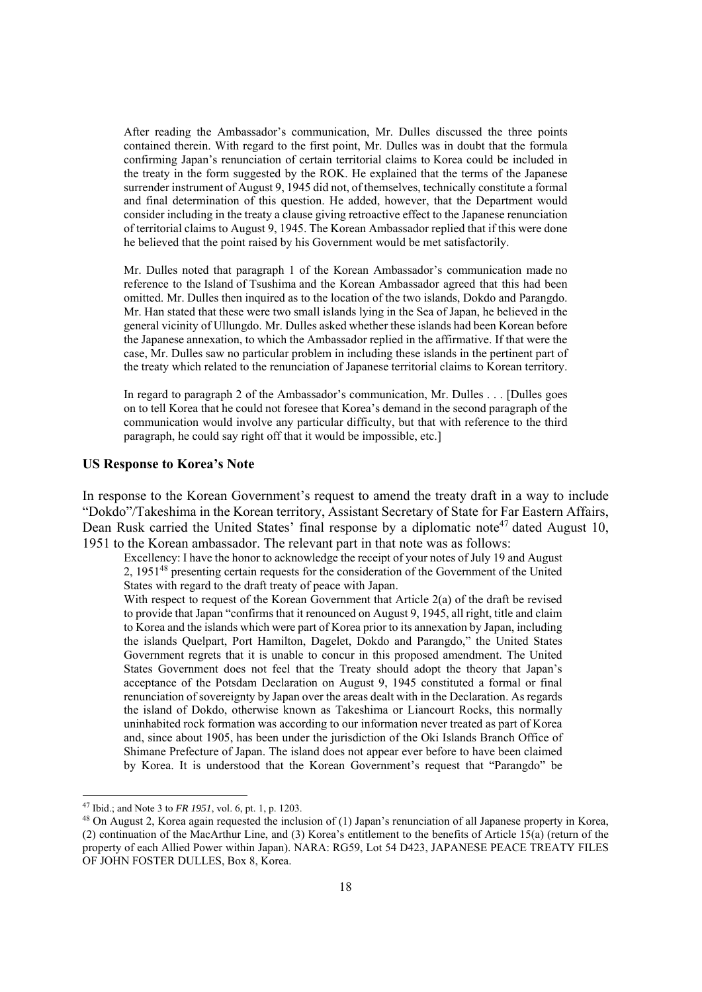After reading the Ambassador's communication, Mr. Dulles discussed the three points contained therein. With regard to the first point, Mr. Dulles was in doubt that the formula confirming Japan's renunciation of certain territorial claims to Korea could be included in the treaty in the form suggested by the ROK. He explained that the terms of the Japanese surrender instrument of August 9, 1945 did not, of themselves, technically constitute a formal and final determination of this question. He added, however, that the Department would consider including in the treaty a clause giving retroactive effect to the Japanese renunciation of territorial claims to August 9, 1945. The Korean Ambassador replied that if this were done he believed that the point raised by his Government would be met satisfactorily.

Mr. Dulles noted that paragraph 1 of the Korean Ambassador's communication made no reference to the Island of Tsushima and the Korean Ambassador agreed that this had been omitted. Mr. Dulles then inquired as to the location of the two islands, Dokdo and Parangdo. Mr. Han stated that these were two small islands lying in the Sea of Japan, he believed in the general vicinity of Ullungdo. Mr. Dulles asked whether these islands had been Korean before the Japanese annexation, to which the Ambassador replied in the affirmative. If that were the case, Mr. Dulles saw no particular problem in including these islands in the pertinent part of the treaty which related to the renunciation of Japanese territorial claims to Korean territory.

In regard to paragraph 2 of the Ambassador's communication, Mr. Dulles . . . [Dulles goes on to tell Korea that he could not foresee that Korea's demand in the second paragraph of the communication would involve any particular difficulty, but that with reference to the third paragraph, he could say right off that it would be impossible, etc.]

### **US Response to Korea's Note**

In response to the Korean Government's request to amend the treaty draft in a way to include "Dokdo"/Takeshima in the Korean territory, Assistant Secretary of State for Far Eastern Affairs, Dean Rusk carried the United States' final response by a diplomatic note<sup>47</sup> dated August 10, 1951 to the Korean ambassador. The relevant part in that note was as follows:

Excellency: I have the honor to acknowledge the receipt of your notes of July 19 and August 2, 195148 presenting certain requests for the consideration of the Government of the United States with regard to the draft treaty of peace with Japan.

With respect to request of the Korean Government that Article 2(a) of the draft be revised to provide that Japan "confirms that it renounced on August 9, 1945, all right, title and claim to Korea and the islands which were part of Korea prior to its annexation by Japan, including the islands Quelpart, Port Hamilton, Dagelet, Dokdo and Parangdo," the United States Government regrets that it is unable to concur in this proposed amendment. The United States Government does not feel that the Treaty should adopt the theory that Japan's acceptance of the Potsdam Declaration on August 9, 1945 constituted a formal or final renunciation of sovereignty by Japan over the areas dealt with in the Declaration. As regards the island of Dokdo, otherwise known as Takeshima or Liancourt Rocks, this normally uninhabited rock formation was according to our information never treated as part of Korea and, since about 1905, has been under the jurisdiction of the Oki Islands Branch Office of Shimane Prefecture of Japan. The island does not appear ever before to have been claimed by Korea. It is understood that the Korean Government's request that "Parangdo" be

<sup>&</sup>lt;sup>47</sup> Ibid.; and Note 3 to *FR 1951*, vol. 6, pt. 1, p. 1203.<br><sup>48</sup> On August 2, Korea again requested the inclusion of (1) Japan's renunciation of all Japanese property in Korea, (2) continuation of the MacArthur Line, and (3) Korea's entitlement to the benefits of Article 15(a) (return of the property of each Allied Power within Japan). NARA: RG59, Lot 54 D423, JAPANESE PEACE TREATY FILES OF JOHN FOSTER DULLES, Box 8, Korea.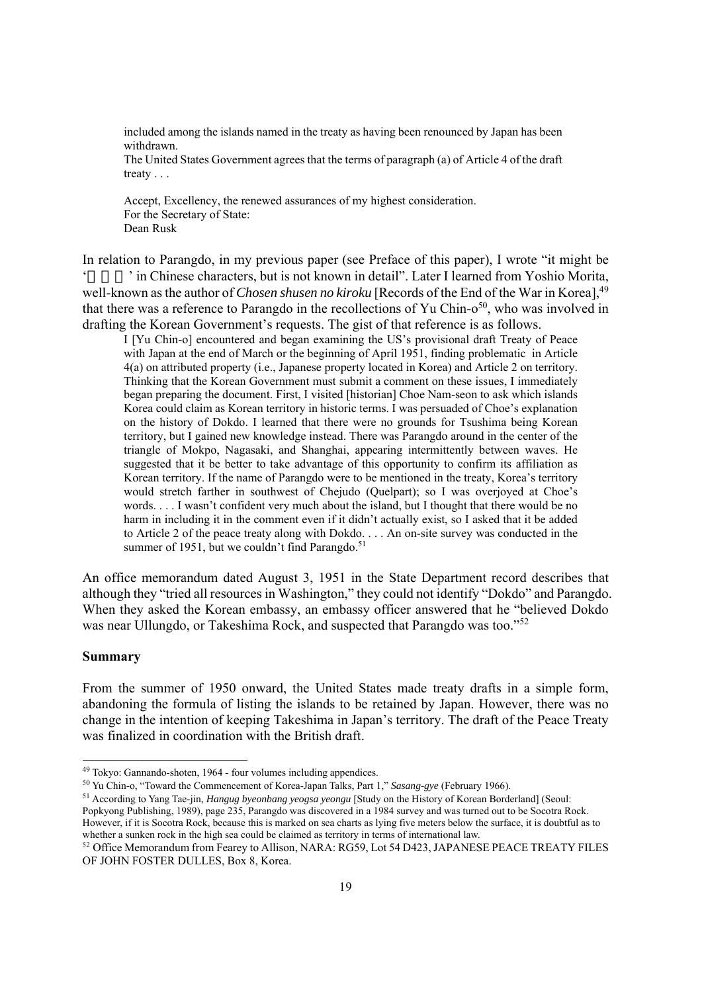included among the islands named in the treaty as having been renounced by Japan has been withdrawn.

The United States Government agrees that the terms of paragraph (a) of Article 4 of the draft treaty . . .

Accept, Excellency, the renewed assurances of my highest consideration. For the Secretary of State: Dean Rusk

In relation to Parangdo, in my previous paper (see Preface of this paper), I wrote "it might be ' in Chinese characters, but is not known in detail". Later I learned from Yoshio Morita, well-known as the author of *Chosen shusen no kiroku* [Records of the End of the War in Korea], <sup>49</sup> that there was a reference to Parangdo in the recollections of Yu Chin- $o^{50}$ , who was involved in drafting the Korean Government's requests. The gist of that reference is as follows.

I [Yu Chin-o] encountered and began examining the US's provisional draft Treaty of Peace with Japan at the end of March or the beginning of April 1951, finding problematic in Article 4(a) on attributed property (i.e., Japanese property located in Korea) and Article 2 on territory. Thinking that the Korean Government must submit a comment on these issues, I immediately began preparing the document. First, I visited [historian] Choe Nam-seon to ask which islands Korea could claim as Korean territory in historic terms. I was persuaded of Choe's explanation on the history of Dokdo. I learned that there were no grounds for Tsushima being Korean territory, but I gained new knowledge instead. There was Parangdo around in the center of the triangle of Mokpo, Nagasaki, and Shanghai, appearing intermittently between waves. He suggested that it be better to take advantage of this opportunity to confirm its affiliation as Korean territory. If the name of Parangdo were to be mentioned in the treaty, Korea's territory would stretch farther in southwest of Chejudo (Quelpart); so I was overjoyed at Choe's words. . . . I wasn't confident very much about the island, but I thought that there would be no harm in including it in the comment even if it didn't actually exist, so I asked that it be added to Article 2 of the peace treaty along with Dokdo. . . . An on-site survey was conducted in the summer of 1951, but we couldn't find Parangdo.<sup>51</sup>

An office memorandum dated August 3, 1951 in the State Department record describes that although they "tried all resources in Washington," they could not identify "Dokdo" and Parangdo. When they asked the Korean embassy, an embassy officer answered that he "believed Dokdo was near Ullungdo, or Takeshima Rock, and suspected that Parangdo was too."52

### **Summary**

From the summer of 1950 onward, the United States made treaty drafts in a simple form, abandoning the formula of listing the islands to be retained by Japan. However, there was no change in the intention of keeping Takeshima in Japan's territory. The draft of the Peace Treaty was finalized in coordination with the British draft.

Popkyong Publishing, 1989), page 235, Parangdo was discovered in a 1984 survey and was turned out to be Socotra Rock. However, if it is Socotra Rock, because this is marked on sea charts as lying five meters below the surface, it is doubtful as to whether a sunken rock in the high sea could be claimed as territory in terms of internationa

<sup>&</sup>lt;sup>49</sup> Tokyo: Gannando-shoten, 1964 - four volumes including appendices.<br><sup>50</sup> Yu Chin-o, "Toward the Commencement of Korea-Japan Talks, Part 1," *Sasang-gye* (February 1966).<br><sup>51</sup> According to Yang Tae-jin, *Hangug byeonban* 

<sup>&</sup>lt;sup>52</sup> Office Memorandum from Fearey to Allison, NARA: RG59, Lot 54 D423, JAPANESE PEACE TREATY FILES OF JOHN FOSTER DULLES, Box 8, Korea.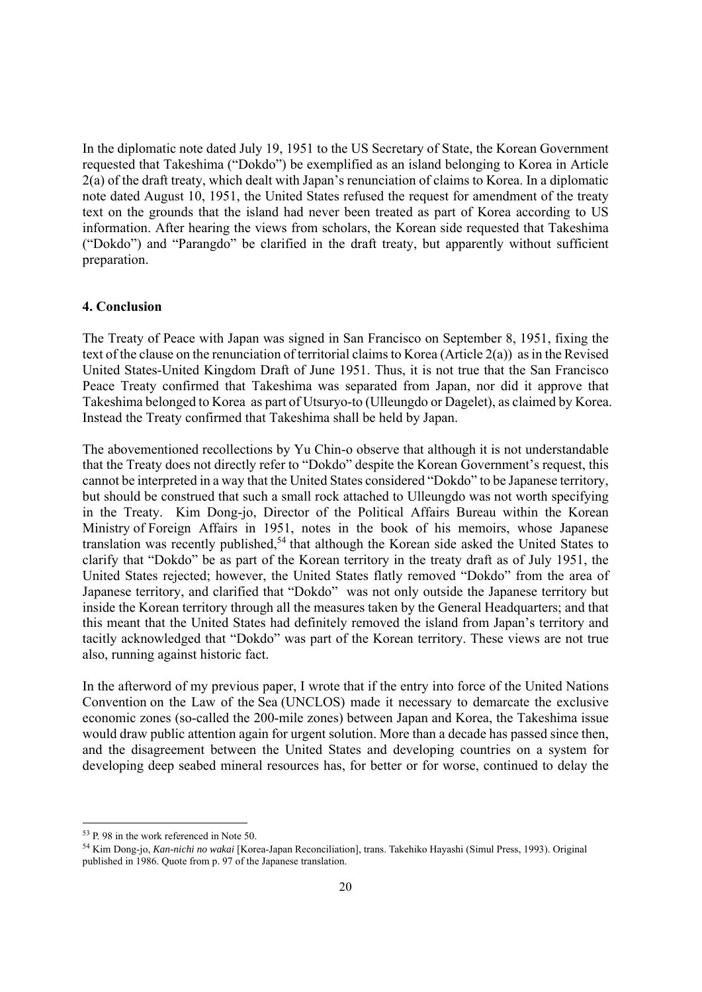In the diplomatic note dated July 19, 1951 to the US Secretary of State, the Korean Government requested that Takeshima ("Dokdo") be exemplified as an island belonging to Korea in Article 2(a) of the draft treaty, which dealt with Japan's renunciation of claims to Korea. In a diplomatic note dated August 10, 1951, the United States refused the request for amendment of the treaty text on the grounds that the island had never been treated as part of Korea according to US information. After hearing the views from scholars, the Korean side requested that Takeshima ("Dokdo") and "Parangdo" be clarified in the draft treaty, but apparently without sufficient preparation.

### **4. Conclusion**

The Treaty of Peace with Japan was signed in San Francisco on September 8, 1951, fixing the text of the clause on the renunciation of territorial claims to Korea (Article 2(a)) as in the Revised United States-United Kingdom Draft of June 1951. Thus, it is not true that the San Francisco Peace Treaty confirmed that Takeshima was separated from Japan, nor did it approve that Takeshima belonged to Korea as part of Utsuryo-to (Ulleungdo or Dagelet), as claimed by Korea. Instead the Treaty confirmed that Takeshima shall be held by Japan.

The abovementioned recollections by Yu Chin-o observe that although it is not understandable that the Treaty does not directly refer to "Dokdo" despite the Korean Government's request, this cannot be interpreted in a way that the United States considered "Dokdo" to be Japanese territory, but should be construed that such a small rock attached to Ulleungdo was not worth specifying in the Treaty. Kim Dong-jo, Director of the Political Affairs Bureau within the Korean Ministry of Foreign Affairs in 1951, notes in the book of his memoirs, whose Japanese translation was recently published,<sup>54</sup> that although the Korean side asked the United States to clarify that "Dokdo" be as part of the Korean territory in the treaty draft as of July 1951, the United States rejected; however, the United States flatly removed "Dokdo" from the area of Japanese territory, and clarified that "Dokdo" was not only outside the Japanese territory but inside the Korean territory through all the measures taken by the General Headquarters; and that this meant that the United States had definitely removed the island from Japan's territory and tacitly acknowledged that "Dokdo" was part of the Korean territory. These views are not true also, running against historic fact.

In the afterword of my previous paper, I wrote that if the entry into force of the United Nations Convention on the Law of the Sea (UNCLOS) made it necessary to demarcate the exclusive economic zones (so-called the 200-mile zones) between Japan and Korea, the Takeshima issue would draw public attention again for urgent solution. More than a decade has passed since then, and the disagreement between the United States and developing countries on a system for developing deep seabed mineral resources has, for better or for worse, continued to delay the

<sup>53</sup> P. 98 in the work referenced in Note 50.

<sup>54</sup> Kim Dong-jo, *Kan-nichi no wakai* [Korea-Japan Reconciliation], trans. Takehiko Hayashi (Simul Press, 1993). Original published in 1986. Quote from p. 97 of the Japanese translation.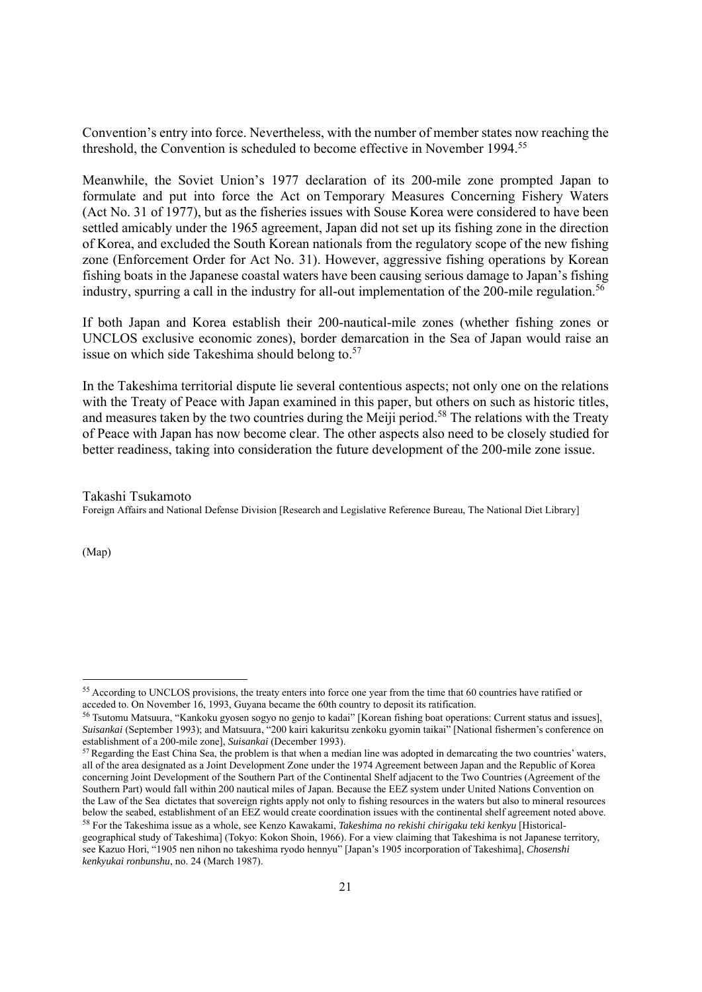Convention's entry into force. Nevertheless, with the number of member states now reaching the threshold, the Convention is scheduled to become effective in November 1994.<sup>55</sup>

Meanwhile, the Soviet Union's 1977 declaration of its 200-mile zone prompted Japan to formulate and put into force the Act on Temporary Measures Concerning Fishery Waters (Act No. 31 of 1977), but as the fisheries issues with Souse Korea were considered to have been settled amicably under the 1965 agreement, Japan did not set up its fishing zone in the direction of Korea, and excluded the South Korean nationals from the regulatory scope of the new fishing zone (Enforcement Order for Act No. 31). However, aggressive fishing operations by Korean fishing boats in the Japanese coastal waters have been causing serious damage to Japan's fishing industry, spurring a call in the industry for all-out implementation of the 200-mile regulation.<sup>56</sup>

If both Japan and Korea establish their 200-nautical-mile zones (whether fishing zones or UNCLOS exclusive economic zones), border demarcation in the Sea of Japan would raise an issue on which side Takeshima should belong to.<sup>57</sup>

In the Takeshima territorial dispute lie several contentious aspects; not only one on the relations with the Treaty of Peace with Japan examined in this paper, but others on such as historic titles, and measures taken by the two countries during the Meiji period.<sup>58</sup> The relations with the Treaty of Peace with Japan has now become clear. The other aspects also need to be closely studied for better readiness, taking into consideration the future development of the 200-mile zone issue.

Takashi Tsukamoto Foreign Affairs and National Defense Division [Research and Legislative Reference Bureau, The National Diet Library]

(Map)

 $55$  According to UNCLOS provisions, the treaty enters into force one year from the time that 60 countries have ratified or acceded to. On November 16, 1993, Guvana became the 60th country to deposit its ratification.

<sup>&</sup>lt;sup>56</sup> Tsutomu Matsuura, "Kankoku gyosen sogyo no genjo to kadai" [Korean fishing boat operations: Current status and issues], *Suisankai* (September 1993); and Matsuura, "200 kairi kakuritsu zenkoku gyomin taikai" [National fishermen's conference on

<sup>&</sup>lt;sup>57</sup> Regarding the East China Sea, the problem is that when a median line was adopted in demarcating the two countries' waters, all of the area designated as a Joint Development Zone under the 1974 Agreement between Japan and the Republic of Korea concerning Joint Development of the Southern Part of the Continental Shelf adjacent to the Two Countries (Agreement of the Southern Part) would fall within 200 nautical miles of Japan. Because the EEZ system under United Nations Convention on the Law of the Sea dictates that sovereign rights apply not only to fishing resources in the waters but also to mineral resources below the seabed, establishment of an EEZ would create coordination issues with the continental shelf agreement noted above.<br><sup>58</sup> For the Takeshima issue as a whole, see Kenzo Kawakami, *Takeshima no rekishi chirigaku teki* 

geographical study of Takeshima] (Tokyo: Kokon Shoin, 1966). For a view claiming that Takeshima is not Japanese territory, see Kazuo Hori, "1905 nen nihon no takeshima ryodo hennyu" [Japan's 1905 incorporation of Takeshima], *Chosenshi kenkyukai ronbunshu*, no. 24 (March 1987).